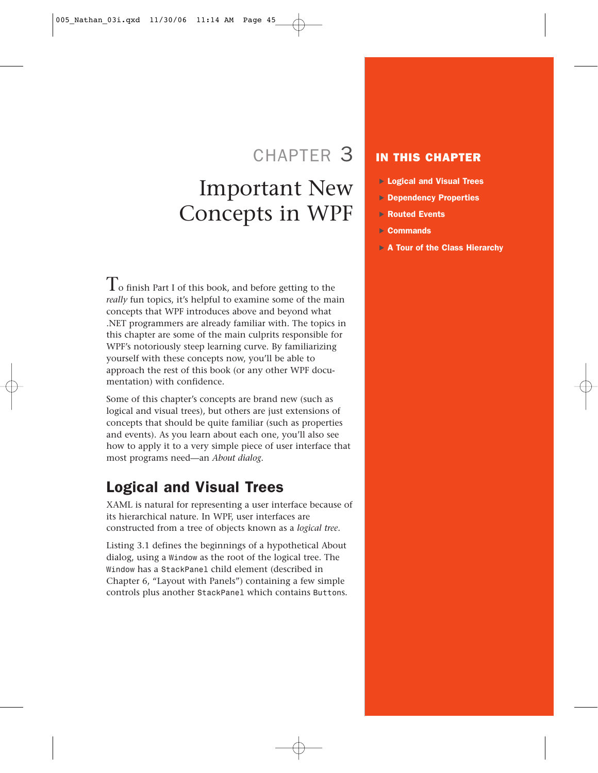# CHAPTER 3

# Important New Concepts in WPF

To finish Part I of this book, and before getting to the *really* fun topics, it's helpful to examine some of the main concepts that WPF introduces above and beyond what .NET programmers are already familiar with. The topics in this chapter are some of the main culprits responsible for WPF's notoriously steep learning curve. By familiarizing yourself with these concepts now, you'll be able to approach the rest of this book (or any other WPF documentation) with confidence.

Some of this chapter's concepts are brand new (such as logical and visual trees), but others are just extensions of concepts that should be quite familiar (such as properties and events). As you learn about each one, you'll also see how to apply it to a very simple piece of user interface that most programs need—an *About dialog*.

## Logical and Visual Trees

XAML is natural for representing a user interface because of its hierarchical nature. In WPF, user interfaces are constructed from a tree of objects known as a *logical tree*.

Listing 3.1 defines the beginnings of a hypothetical About dialog, using a Window as the root of the logical tree. The Window has a StackPanel child element (described in Chapter 6, "Layout with Panels") containing a few simple controls plus another StackPanel which contains Buttons.

### IN THIS CHAPTER

- **E.** Logical and Visual Trees
- ► Dependency Properties
- ▶ Routed Events
- . Commands
- $\triangleright$  A Tour of the Class Hierarchy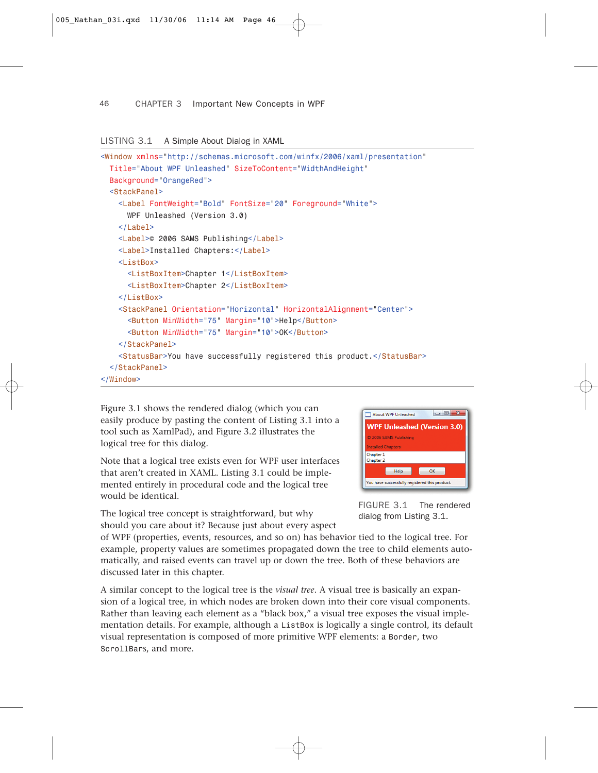```
LISTING 3.1 A Simple About Dialog in XAML
```

```
<Window xmlns="http://schemas.microsoft.com/winfx/2006/xaml/presentation"
  Title="About WPF Unleashed" SizeToContent="WidthAndHeight"
  Background="OrangeRed">
  <StackPanel>
    <Label FontWeight="Bold" FontSize="20" Foreground="White">
     WPF Unleashed (Version 3.0)
    </Label>
    <Label>© 2006 SAMS Publishing</Label>
    <Label>Installed Chapters:</Label>
    <ListBox>
      <ListBoxItem>Chapter 1</ListBoxItem>
      <ListBoxItem>Chapter 2</ListBoxItem>
    </ListBox>
    <StackPanel Orientation="Horizontal" HorizontalAlignment="Center">
      <Button MinWidth="75" Margin="10">Help</Button>
      <Button MinWidth="75" Margin="10">OK</Button>
    </StackPanel>
    <StatusBar>You have successfully registered this product.</StatusBar>
  </StackPanel>
</Window>
```
Figure 3.1 shows the rendered dialog (which you can easily produce by pasting the content of Listing 3.1 into a tool such as XamlPad), and Figure 3.2 illustrates the logical tree for this dialog.

Note that a logical tree exists even for WPF user interfaces that aren't created in XAML. Listing 3.1 could be implemented entirely in procedural code and the logical tree would be identical.



FIGURE 3.1 The rendered dialog from Listing 3.1.

The logical tree concept is straightforward, but why should you care about it? Because just about every aspect

of WPF (properties, events, resources, and so on) has behavior tied to the logical tree. For example, property values are sometimes propagated down the tree to child elements automatically, and raised events can travel up or down the tree. Both of these behaviors are discussed later in this chapter.

A similar concept to the logical tree is the *visual tree*. A visual tree is basically an expansion of a logical tree, in which nodes are broken down into their core visual components. Rather than leaving each element as a "black box," a visual tree exposes the visual implementation details. For example, although a ListBox is logically a single control, its default visual representation is composed of more primitive WPF elements: a Border, two ScrollBars, and more.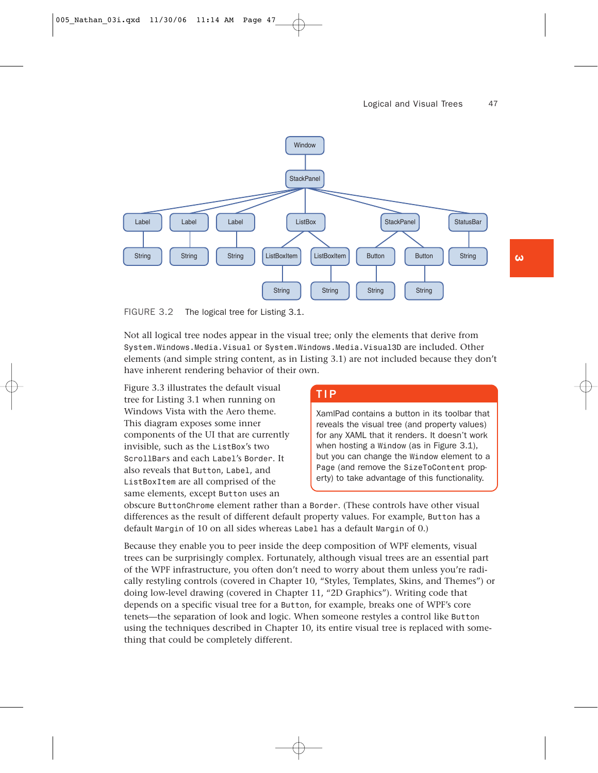

FIGURE 3.2 The logical tree for Listing 3.1.

Not all logical tree nodes appear in the visual tree; only the elements that derive from System.Windows.Media.Visual or System.Windows.Media.Visual3D are included. Other elements (and simple string content, as in Listing 3.1) are not included because they don't have inherent rendering behavior of their own.

Figure 3.3 illustrates the default visual tree for Listing 3.1 when running on Windows Vista with the Aero theme. This diagram exposes some inner components of the UI that are currently invisible, such as the ListBox's two ScrollBars and each Label's Border. It also reveals that Button, Label, and ListBoxItem are all comprised of the same elements, except Button uses an

### TIP

XamlPad contains a button in its toolbar that reveals the visual tree (and property values) for any XAML that it renders. It doesn't work when hosting a Window (as in Figure 3.1), but you can change the Window element to a Page (and remove the SizeToContent property) to take advantage of this functionality.

obscure ButtonChrome element rather than a Border. (These controls have other visual differences as the result of different default property values. For example, Button has a default Margin of 10 on all sides whereas Label has a default Margin of 0.)

Because they enable you to peer inside the deep composition of WPF elements, visual trees can be surprisingly complex. Fortunately, although visual trees are an essential part of the WPF infrastructure, you often don't need to worry about them unless you're radically restyling controls (covered in Chapter 10, "Styles, Templates, Skins, and Themes") or doing low-level drawing (covered in Chapter 11, "2D Graphics"). Writing code that depends on a specific visual tree for a Button, for example, breaks one of WPF's core tenets—the separation of look and logic. When someone restyles a control like Button using the techniques described in Chapter 10, its entire visual tree is replaced with something that could be completely different.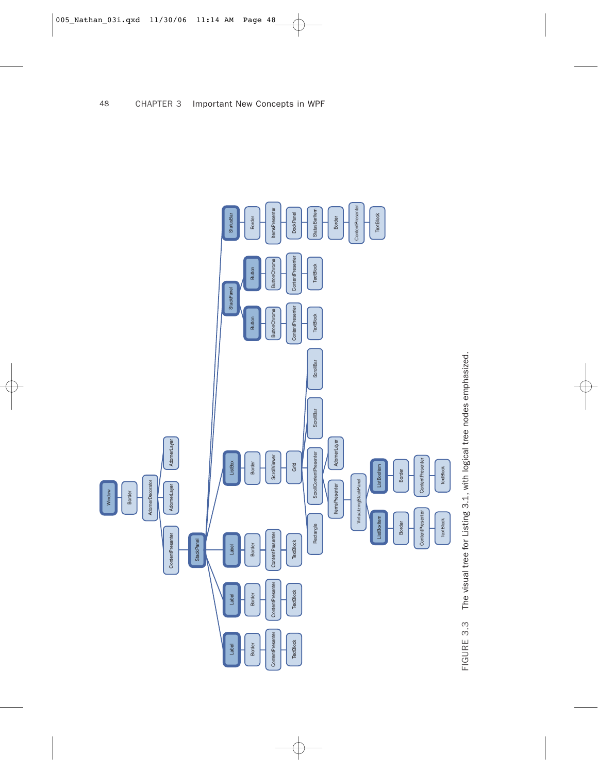

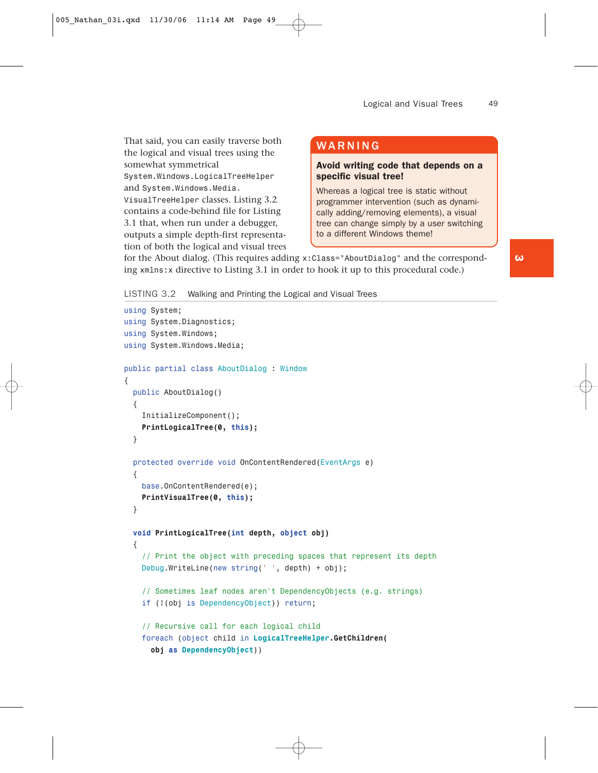That said, you can easily traverse both the logical and visual trees using the somewhat symmetrical System.Windows.LogicalTreeHelper and System.Windows.Media. VisualTreeHelper classes. Listing 3.2 contains a code-behind file for Listing 3.1 that, when run under a debugger, outputs a simple depth-first representation of both the logical and visual trees

### **WARNING**

#### Avoid writing code that depends on a specific visual tree!

Whereas a logical tree is static without programmer intervention (such as dynamically adding/removing elements), a visual tree can change simply by a user switching to a different Windows theme!

for the About dialog. (This requires adding x:Class="AboutDialog" and the corresponding xmlns:x directive to Listing 3.1 in order to hook it up to this procedural code.)

LISTING 3.2 Walking and Printing the Logical and Visual Trees

```
using System;
using System.Diagnostics;
using System.Windows;
using System.Windows.Media;
public partial class AboutDialog : Window
{
  public AboutDialog()
  {
    InitializeComponent();
    PrintLogicalTree(0, this);
  }
  protected override void OnContentRendered(EventArgs e)
  {
    base.OnContentRendered(e);
    PrintVisualTree(0, this);
  }
  void PrintLogicalTree(int depth, object obj)
  {
    // Print the object with preceding spaces that represent its depth
    Debug.WriteLine(new string(' ', depth) + obj);
    // Sometimes leaf nodes aren't DependencyObjects (e.g. strings)
    if (!(obj is DependencyObject)) return;
    // Recursive call for each logical child
    foreach (object child in LogicalTreeHelper.GetChildren(
      obj as DependencyObject))
```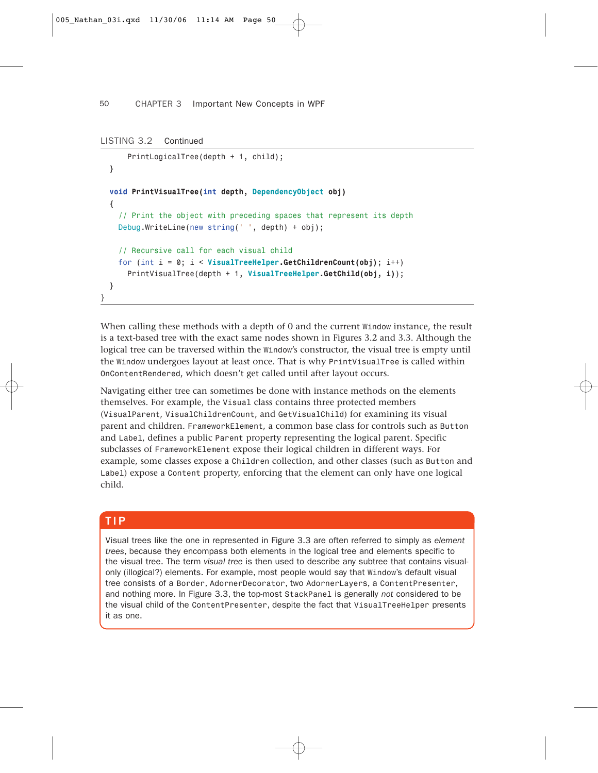```
LISTING 3.2 Continued
```

```
PrintLogicalTree(depth + 1, child);
 }
 void PrintVisualTree(int depth, DependencyObject obj)
 {
   // Print the object with preceding spaces that represent its depth
   Debug.WriteLine(new string(' ', depth) + obj);
   // Recursive call for each visual child
   for (int i = 0; i < VisualTreeHelper.GetChildrenCount(obj); i++)
     PrintVisualTree(depth + 1, VisualTreeHelper.GetChild(obj, i));
 }
}
```
When calling these methods with a depth of 0 and the current Window instance, the result is a text-based tree with the exact same nodes shown in Figures 3.2 and 3.3. Although the logical tree can be traversed within the Window's constructor, the visual tree is empty until the Window undergoes layout at least once. That is why PrintVisualTree is called within OnContentRendered, which doesn't get called until after layout occurs.

Navigating either tree can sometimes be done with instance methods on the elements themselves. For example, the Visual class contains three protected members (VisualParent, VisualChildrenCount, and GetVisualChild) for examining its visual parent and children. FrameworkElement, a common base class for controls such as Button and Label, defines a public Parent property representing the logical parent. Specific subclasses of FrameworkElement expose their logical children in different ways. For example, some classes expose a Children collection, and other classes (such as Button and Label) expose a Content property, enforcing that the element can only have one logical child.

### TIP

Visual trees like the one in represented in Figure 3.3 are often referred to simply as *element trees*, because they encompass both elements in the logical tree and elements specific to the visual tree. The term *visual tree* is then used to describe any subtree that contains visualonly (illogical?) elements. For example, most people would say that Window's default visual tree consists of a Border, AdornerDecorator, two AdornerLayers, a ContentPresenter, and nothing more. In Figure 3.3, the top-most StackPanel is generally *not* considered to be the visual child of the ContentPresenter, despite the fact that VisualTreeHelper presents it as one.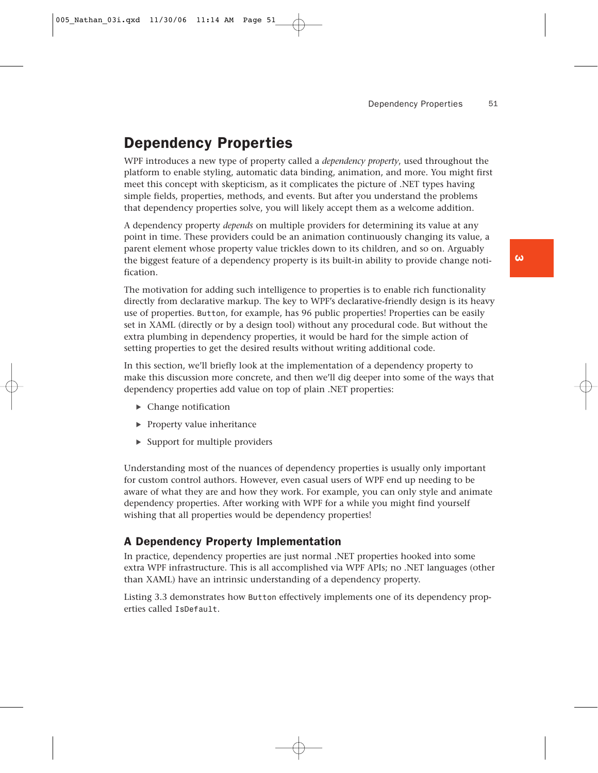# Dependency Properties

WPF introduces a new type of property called a *dependency property*, used throughout the platform to enable styling, automatic data binding, animation, and more. You might first meet this concept with skepticism, as it complicates the picture of .NET types having simple fields, properties, methods, and events. But after you understand the problems that dependency properties solve, you will likely accept them as a welcome addition.

A dependency property *depends* on multiple providers for determining its value at any point in time. These providers could be an animation continuously changing its value, a parent element whose property value trickles down to its children, and so on. Arguably the biggest feature of a dependency property is its built-in ability to provide change notification.

The motivation for adding such intelligence to properties is to enable rich functionality directly from declarative markup. The key to WPF's declarative-friendly design is its heavy use of properties. Button, for example, has 96 public properties! Properties can be easily set in XAML (directly or by a design tool) without any procedural code. But without the extra plumbing in dependency properties, it would be hard for the simple action of setting properties to get the desired results without writing additional code.

In this section, we'll briefly look at the implementation of a dependency property to make this discussion more concrete, and then we'll dig deeper into some of the ways that dependency properties add value on top of plain .NET properties:

- $\blacktriangleright$  Change notification
- **Property value inheritance**
- $\triangleright$  Support for multiple providers

Understanding most of the nuances of dependency properties is usually only important for custom control authors. However, even casual users of WPF end up needing to be aware of what they are and how they work. For example, you can only style and animate dependency properties. After working with WPF for a while you might find yourself wishing that all properties would be dependency properties!

### A Dependency Property Implementation

In practice, dependency properties are just normal .NET properties hooked into some extra WPF infrastructure. This is all accomplished via WPF APIs; no .NET languages (other than XAML) have an intrinsic understanding of a dependency property.

Listing 3.3 demonstrates how Button effectively implements one of its dependency properties called IsDefault.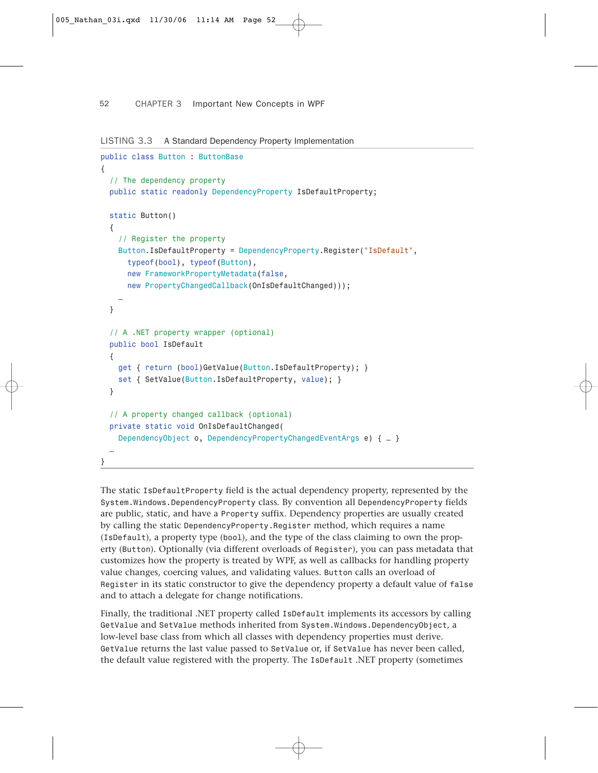LISTING 3.3 A Standard Dependency Property Implementation

```
public class Button : ButtonBase
{
  // The dependency property
  public static readonly DependencyProperty IsDefaultProperty;
  static Button()
  {
    // Register the property
    Button.IsDefaultProperty = DependencyProperty.Register("IsDefault",
      typeof(bool), typeof(Button),
     new FrameworkPropertyMetadata(false,
      new PropertyChangedCallback(OnIsDefaultChanged)));
    …
  }
  // A .NET property wrapper (optional)
  public bool IsDefault
  {
    get { return (bool)GetValue(Button.IsDefaultProperty); }
    set { SetValue(Button.IsDefaultProperty, value); }
  }
  // A property changed callback (optional)
  private static void OnIsDefaultChanged(
    DependencyObject o, DependencyPropertyChangedEventArgs e) { … }
  …
}
```
The static IsDefaultProperty field is the actual dependency property, represented by the System.Windows.DependencyProperty class. By convention all DependencyProperty fields are public, static, and have a Property suffix. Dependency properties are usually created by calling the static DependencyProperty.Register method, which requires a name (IsDefault), a property type (bool), and the type of the class claiming to own the property (Button). Optionally (via different overloads of Register), you can pass metadata that customizes how the property is treated by WPF, as well as callbacks for handling property value changes, coercing values, and validating values. Button calls an overload of Register in its static constructor to give the dependency property a default value of false and to attach a delegate for change notifications.

Finally, the traditional .NET property called IsDefault implements its accessors by calling GetValue and SetValue methods inherited from System.Windows.DependencyObject, a low-level base class from which all classes with dependency properties must derive. GetValue returns the last value passed to SetValue or, if SetValue has never been called, the default value registered with the property. The IsDefault .NET property (sometimes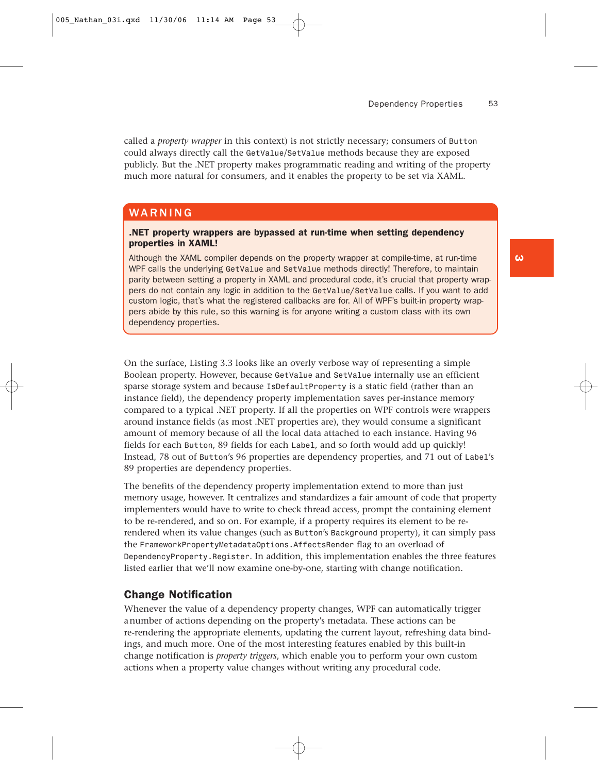called a *property wrapper* in this context) is not strictly necessary; consumers of Button could always directly call the GetValue/SetValue methods because they are exposed publicly. But the .NET property makes programmatic reading and writing of the property much more natural for consumers, and it enables the property to be set via XAML.

### WARNING

#### .NET property wrappers are bypassed at run-time when setting dependency properties in XAML!

Although the XAML compiler depends on the property wrapper at compile-time, at run-time WPF calls the underlying GetValue and SetValue methods directly! Therefore, to maintain parity between setting a property in XAML and procedural code, it's crucial that property wrappers do not contain any logic in addition to the GetValue/SetValue calls. If you want to add custom logic, that's what the registered callbacks are for. All of WPF's built-in property wrappers abide by this rule, so this warning is for anyone writing a custom class with its own dependency properties.

On the surface, Listing 3.3 looks like an overly verbose way of representing a simple Boolean property. However, because GetValue and SetValue internally use an efficient sparse storage system and because IsDefaultProperty is a static field (rather than an instance field), the dependency property implementation saves per-instance memory compared to a typical .NET property. If all the properties on WPF controls were wrappers around instance fields (as most .NET properties are), they would consume a significant amount of memory because of all the local data attached to each instance. Having 96 fields for each Button, 89 fields for each Label, and so forth would add up quickly! Instead, 78 out of Button's 96 properties are dependency properties, and 71 out of Label's 89 properties are dependency properties.

The benefits of the dependency property implementation extend to more than just memory usage, however. It centralizes and standardizes a fair amount of code that property implementers would have to write to check thread access, prompt the containing element to be re-rendered, and so on. For example, if a property requires its element to be rerendered when its value changes (such as Button's Background property), it can simply pass the FrameworkPropertyMetadataOptions.AffectsRender flag to an overload of DependencyProperty.Register. In addition, this implementation enables the three features listed earlier that we'll now examine one-by-one, starting with change notification.

### Change Notification

Whenever the value of a dependency property changes, WPF can automatically trigger a number of actions depending on the property's metadata. These actions can be re-rendering the appropriate elements, updating the current layout, refreshing data bindings, and much more. One of the most interesting features enabled by this built-in change notification is *property triggers*, which enable you to perform your own custom actions when a property value changes without writing any procedural code.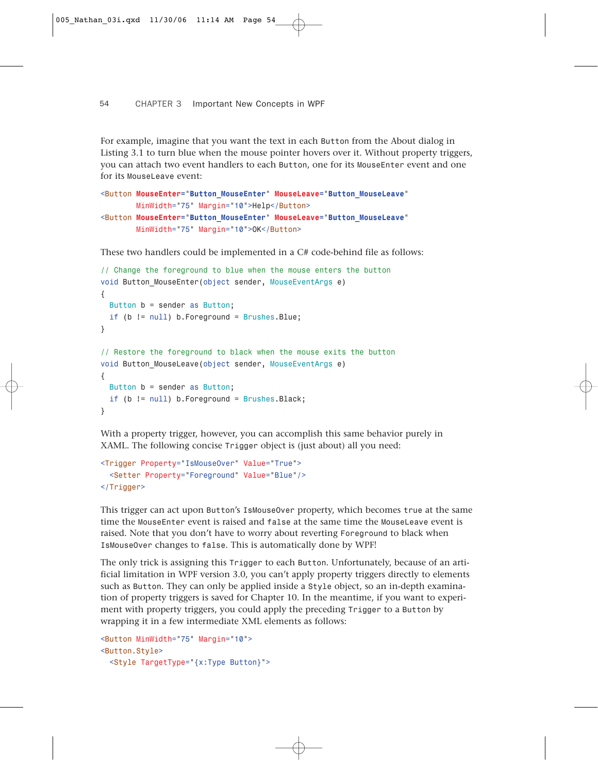For example, imagine that you want the text in each Button from the About dialog in Listing 3.1 to turn blue when the mouse pointer hovers over it. Without property triggers, you can attach two event handlers to each Button, one for its MouseEnter event and one for its MouseLeave event:

```
<Button MouseEnter="Button_MouseEnter" MouseLeave="Button_MouseLeave"
       MinWidth="75" Margin="10">Help</Button>
<Button MouseEnter="Button_MouseEnter" MouseLeave="Button_MouseLeave"
       MinWidth="75" Margin="10">OK</Button>
```
These two handlers could be implemented in a C# code-behind file as follows:

```
// Change the foreground to blue when the mouse enters the button
void Button MouseEnter(object sender, MouseEventArgs e)
{
  Button b = sender as Button;
  if (b != null) b.Foreground = Brushes.Blue;
}
// Restore the foreground to black when the mouse exits the button
void Button MouseLeave(object sender, MouseEventArgs e)
{
  Button b = sender as Button;
  if (b != null) b.Foreground = Brushes.Black;
}
```
With a property trigger, however, you can accomplish this same behavior purely in XAML. The following concise Trigger object is (just about) all you need:

```
<Trigger Property="IsMouseOver" Value="True">
  <Setter Property="Foreground" Value="Blue"/>
</Trigger>
```
This trigger can act upon Button's IsMouseOver property, which becomes true at the same time the MouseEnter event is raised and false at the same time the MouseLeave event is raised. Note that you don't have to worry about reverting Foreground to black when IsMouseOver changes to false. This is automatically done by WPF!

The only trick is assigning this Trigger to each Button. Unfortunately, because of an artificial limitation in WPF version 3.0, you can't apply property triggers directly to elements such as Button. They can only be applied inside a Style object, so an in-depth examination of property triggers is saved for Chapter 10. In the meantime, if you want to experiment with property triggers, you could apply the preceding Trigger to a Button by wrapping it in a few intermediate XML elements as follows:

```
<Button MinWidth="75" Margin="10">
<Button.Style>
  <Style TargetType="{x:Type Button}">
```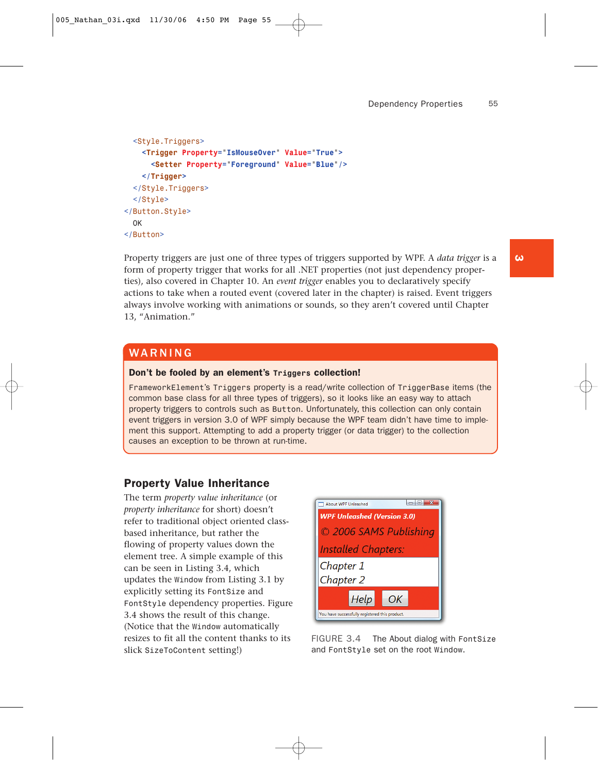```
<Style.Triggers>
    <Trigger Property="IsMouseOver" Value="True">
      <Setter Property="Foreground" Value="Blue"/>
   </Trigger>
 </Style.Triggers>
 </Style>
</Button.Style>
 OK
</Button>
```
Property triggers are just one of three types of triggers supported by WPF. A *data trigger* is a form of property trigger that works for all .NET properties (not just dependency properties), also covered in Chapter 10. An *event trigger* enables you to declaratively specify actions to take when a routed event (covered later in the chapter) is raised. Event triggers always involve working with animations or sounds, so they aren't covered until Chapter 13, "Animation."

### WARNING

#### Don't be fooled by an element's **Triggers** collection!

FrameworkElement's Triggers property is a read/write collection of TriggerBase items (the common base class for all three types of triggers), so it looks like an easy way to attach property triggers to controls such as Button. Unfortunately, this collection can only contain event triggers in version 3.0 of WPF simply because the WPF team didn't have time to implement this support. Attempting to add a property trigger (or data trigger) to the collection causes an exception to be thrown at run-time.

#### Property Value Inheritance

The term *property value inheritance* (or *property inheritance* for short) doesn't refer to traditional object oriented classbased inheritance, but rather the flowing of property values down the element tree. A simple example of this can be seen in Listing 3.4, which updates the Window from Listing 3.1 by explicitly setting its FontSize and FontStyle dependency properties. Figure 3.4 shows the result of this change. (Notice that the Window automatically resizes to fit all the content thanks to its slick SizeToContent setting!)



FIGURE 3.4 The About dialog with FontSize and FontStyle set on the root Window.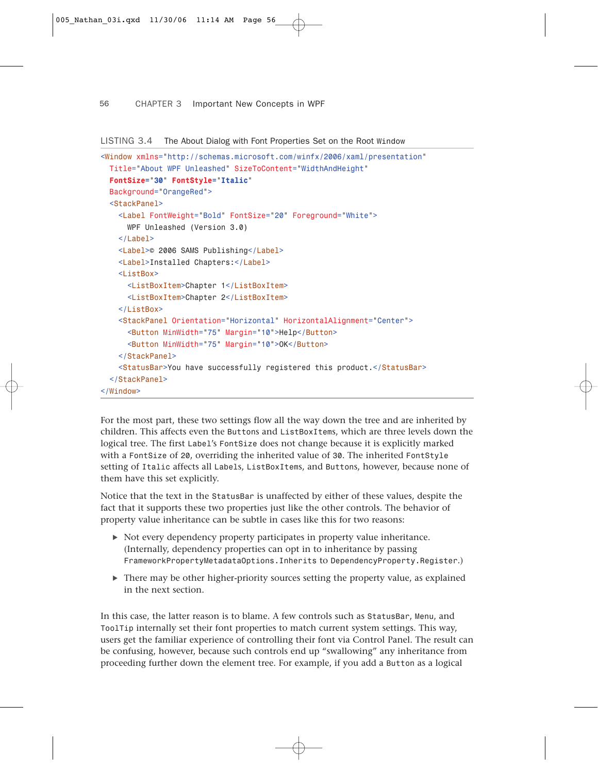LISTING 3.4 The About Dialog with Font Properties Set on the Root Window

```
<Window xmlns="http://schemas.microsoft.com/winfx/2006/xaml/presentation"
  Title="About WPF Unleashed" SizeToContent="WidthAndHeight"
  FontSize="30" FontStyle="Italic"
  Background="OrangeRed">
  <StackPanel>
    <Label FontWeight="Bold" FontSize="20" Foreground="White">
     WPF Unleashed (Version 3.0)
    </Label>
    <Label>© 2006 SAMS Publishing</Label>
    <Label>Installed Chapters:</Label>
    <listBox>
      <ListBoxItem>Chapter 1</ListBoxItem>
     <ListBoxItem>Chapter 2</ListBoxItem>
    </ListBox>
    <StackPanel Orientation="Horizontal" HorizontalAlignment="Center">
      <Button MinWidth="75" Margin="10">Help</Button>
      <Button MinWidth="75" Margin="10">OK</Button>
    </StackPanel>
    <StatusBar>You have successfully registered this product.</StatusBar>
  </StackPanel>
</Window>
```
For the most part, these two settings flow all the way down the tree and are inherited by children. This affects even the Buttons and ListBoxItems, which are three levels down the logical tree. The first Label's FontSize does not change because it is explicitly marked with a FontSize of 20, overriding the inherited value of 30. The inherited FontStyle setting of Italic affects all Labels, ListBoxItems, and Buttons, however, because none of them have this set explicitly.

Notice that the text in the StatusBar is unaffected by either of these values, despite the fact that it supports these two properties just like the other controls. The behavior of property value inheritance can be subtle in cases like this for two reasons:

- $\triangleright$  Not every dependency property participates in property value inheritance. (Internally, dependency properties can opt in to inheritance by passing FrameworkPropertyMetadataOptions.Inherits to DependencyProperty.Register.)
- $\triangleright$  There may be other higher-priority sources setting the property value, as explained in the next section.

In this case, the latter reason is to blame. A few controls such as StatusBar, Menu, and ToolTip internally set their font properties to match current system settings. This way, users get the familiar experience of controlling their font via Control Panel. The result can be confusing, however, because such controls end up "swallowing" any inheritance from proceeding further down the element tree. For example, if you add a Button as a logical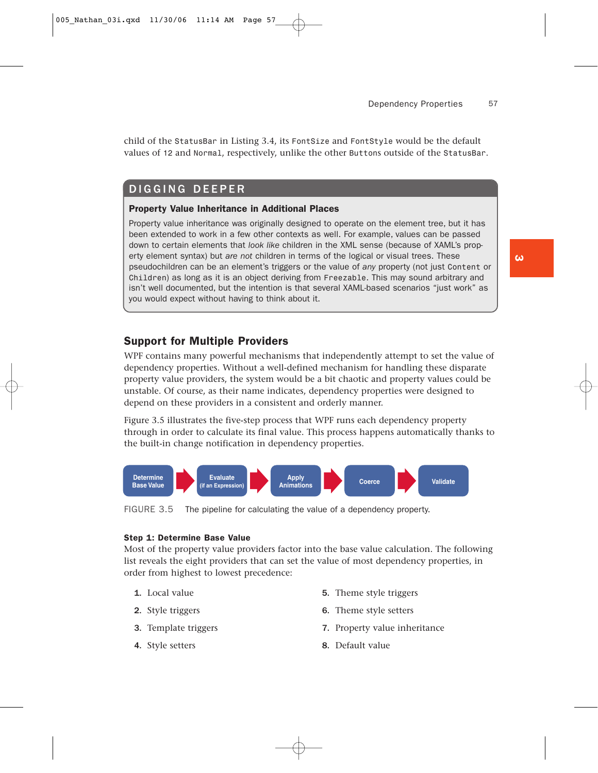child of the StatusBar in Listing 3.4, its FontSize and FontStyle would be the default values of 12 and Normal, respectively, unlike the other Buttons outside of the StatusBar.

### DIGGING DEEPER

#### Property Value Inheritance in Additional Places

Property value inheritance was originally designed to operate on the element tree, but it has been extended to work in a few other contexts as well. For example, values can be passed down to certain elements that *look like* children in the XML sense (because of XAML's property element syntax) but *are not* children in terms of the logical or visual trees. These pseudochildren can be an element's triggers or the value of *any* property (not just Content or Children) as long as it is an object deriving from Freezable. This may sound arbitrary and isn't well documented, but the intention is that several XAML-based scenarios "just work" as you would expect without having to think about it.

### Support for Multiple Providers

WPF contains many powerful mechanisms that independently attempt to set the value of dependency properties. Without a well-defined mechanism for handling these disparate property value providers, the system would be a bit chaotic and property values could be unstable. Of course, as their name indicates, dependency properties were designed to depend on these providers in a consistent and orderly manner.

Figure 3.5 illustrates the five-step process that WPF runs each dependency property through in order to calculate its final value. This process happens automatically thanks to the built-in change notification in dependency properties.



FIGURE 3.5 The pipeline for calculating the value of a dependency property.

#### Step 1: Determine Base Value

Most of the property value providers factor into the base value calculation. The following list reveals the eight providers that can set the value of most dependency properties, in order from highest to lowest precedence:

- 1. Local value
- 2. Style triggers
- 3. Template triggers
- 4. Style setters
- 5. Theme style triggers
- 6. Theme style setters
- 7. Property value inheritance
- 8. Default value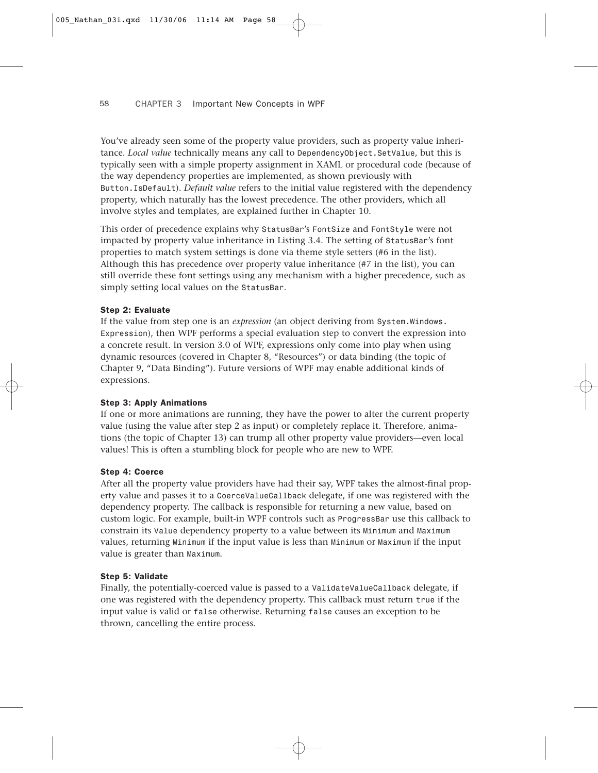You've already seen some of the property value providers, such as property value inheritance. *Local value* technically means any call to DependencyObject.SetValue, but this is typically seen with a simple property assignment in XAML or procedural code (because of the way dependency properties are implemented, as shown previously with Button.IsDefault). *Default value* refers to the initial value registered with the dependency property, which naturally has the lowest precedence. The other providers, which all involve styles and templates, are explained further in Chapter 10.

This order of precedence explains why StatusBar's FontSize and FontStyle were not impacted by property value inheritance in Listing 3.4. The setting of StatusBar's font properties to match system settings is done via theme style setters (#6 in the list). Although this has precedence over property value inheritance (#7 in the list), you can still override these font settings using any mechanism with a higher precedence, such as simply setting local values on the StatusBar.

#### Step 2: Evaluate

If the value from step one is an *expression* (an object deriving from System.Windows. Expression), then WPF performs a special evaluation step to convert the expression into a concrete result. In version 3.0 of WPF, expressions only come into play when using dynamic resources (covered in Chapter 8, "Resources") or data binding (the topic of Chapter 9, "Data Binding"). Future versions of WPF may enable additional kinds of expressions.

#### Step 3: Apply Animations

If one or more animations are running, they have the power to alter the current property value (using the value after step 2 as input) or completely replace it. Therefore, animations (the topic of Chapter 13) can trump all other property value providers—even local values! This is often a stumbling block for people who are new to WPF.

#### Step 4: Coerce

After all the property value providers have had their say, WPF takes the almost-final property value and passes it to a CoerceValueCallback delegate, if one was registered with the dependency property. The callback is responsible for returning a new value, based on custom logic. For example, built-in WPF controls such as ProgressBar use this callback to constrain its Value dependency property to a value between its Minimum and Maximum values, returning Minimum if the input value is less than Minimum or Maximum if the input value is greater than Maximum.

#### Step 5: Validate

Finally, the potentially-coerced value is passed to a ValidateValueCallback delegate, if one was registered with the dependency property. This callback must return true if the input value is valid or false otherwise. Returning false causes an exception to be thrown, cancelling the entire process.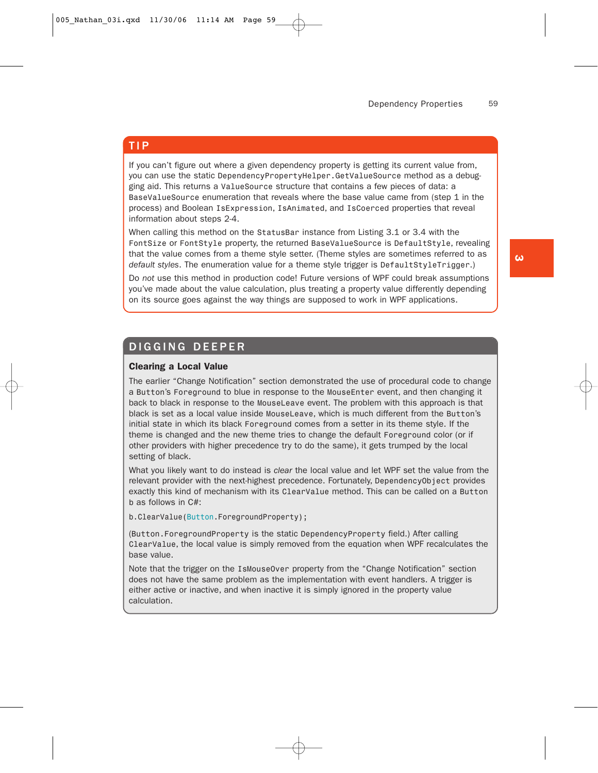### TIP

If you can't figure out where a given dependency property is getting its current value from, you can use the static DependencyPropertyHelper.GetValueSource method as a debugging aid. This returns a ValueSource structure that contains a few pieces of data: a BaseValueSource enumeration that reveals where the base value came from (step 1 in the process) and Boolean IsExpression, IsAnimated, and IsCoerced properties that reveal information about steps 2-4.

When calling this method on the StatusBar instance from Listing 3.1 or 3.4 with the FontSize or FontStyle property, the returned BaseValueSource is DefaultStyle, revealing that the value comes from a theme style setter. (Theme styles are sometimes referred to as *default styles*. The enumeration value for a theme style trigger is DefaultStyleTrigger.)

Do *not* use this method in production code! Future versions of WPF could break assumptions you've made about the value calculation, plus treating a property value differently depending on its source goes against the way things are supposed to work in WPF applications.

### DIGGING DEEPER

#### Clearing a Local Value

The earlier "Change Notification" section demonstrated the use of procedural code to change a Button's Foreground to blue in response to the MouseEnter event, and then changing it back to black in response to the MouseLeave event. The problem with this approach is that black is set as a local value inside MouseLeave, which is much different from the Button's initial state in which its black Foreground comes from a setter in its theme style. If the theme is changed and the new theme tries to change the default Foreground color (or if other providers with higher precedence try to do the same), it gets trumped by the local setting of black.

What you likely want to do instead is *clear* the local value and let WPF set the value from the relevant provider with the next-highest precedence. Fortunately, DependencyObject provides exactly this kind of mechanism with its ClearValue method. This can be called on a Button b as follows in C#:

b.ClearValue(Button.ForegroundProperty);

(Button.ForegroundProperty is the static DependencyProperty field.) After calling ClearValue, the local value is simply removed from the equation when WPF recalculates the base value.

Note that the trigger on the IsMouseOver property from the "Change Notification" section does not have the same problem as the implementation with event handlers. A trigger is either active or inactive, and when inactive it is simply ignored in the property value calculation.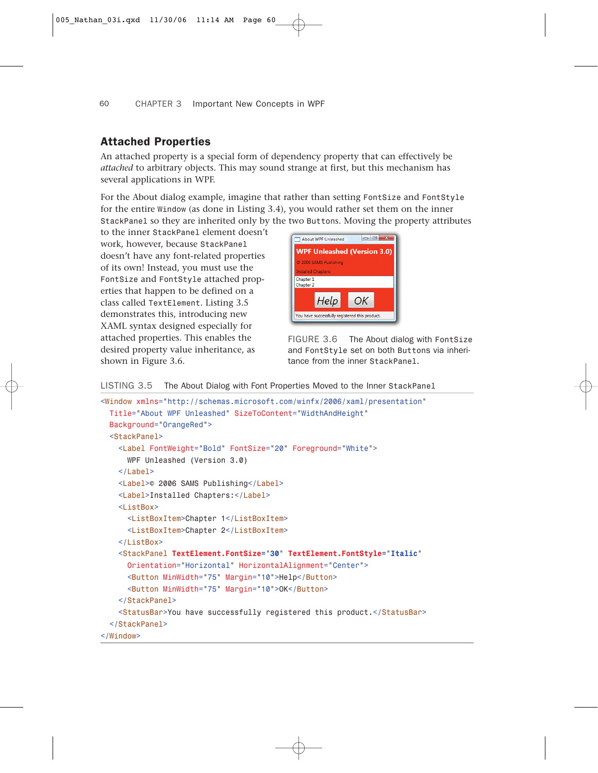### Attached Properties

An attached property is a special form of dependency property that can effectively be *attached* to arbitrary objects. This may sound strange at first, but this mechanism has several applications in WPF.

For the About dialog example, imagine that rather than setting FontSize and FontStyle for the entire Window (as done in Listing 3.4), you would rather set them on the inner StackPanel so they are inherited only by the two Buttons. Moving the property attributes

to the inner StackPanel element doesn't work, however, because StackPanel doesn't have any font-related properties of its own! Instead, you must use the FontSize and FontStyle attached properties that happen to be defined on a class called TextElement. Listing 3.5 demonstrates this, introducing new XAML syntax designed especially for attached properties. This enables the desired property value inheritance, as shown in Figure 3.6.



FIGURE 3.6 The About dialog with FontSize and FontStyle set on both Buttons via inheritance from the inner StackPanel.

LISTING 3.5 The About Dialog with Font Properties Moved to the Inner StackPanel

```
<Window xmlns="http://schemas.microsoft.com/winfx/2006/xaml/presentation"
  Title="About WPF Unleashed" SizeToContent="WidthAndHeight"
  Background="OrangeRed">
  <StackPanel>
    <Label FontWeight="Bold" FontSize="20" Foreground="White">
     WPF Unleashed (Version 3.0)
    </Label>
    <Label>© 2006 SAMS Publishing</Label>
    <Label>Installed Chapters:</Label>
    <ListBox>
      <ListBoxItem>Chapter 1</ListBoxItem>
      <ListBoxItem>Chapter 2</ListBoxItem>
    </ListBox>
    <StackPanel TextElement.FontSize="30" TextElement.FontStyle="Italic"
      Orientation="Horizontal" HorizontalAlignment="Center">
      <Button MinWidth="75" Margin="10">Help</Button>
      <Button MinWidth="75" Margin="10">OK</Button>
    </StackPanel>
    <StatusBar>You have successfully registered this product.</StatusBar>
  </StackPanel>
</Window>
```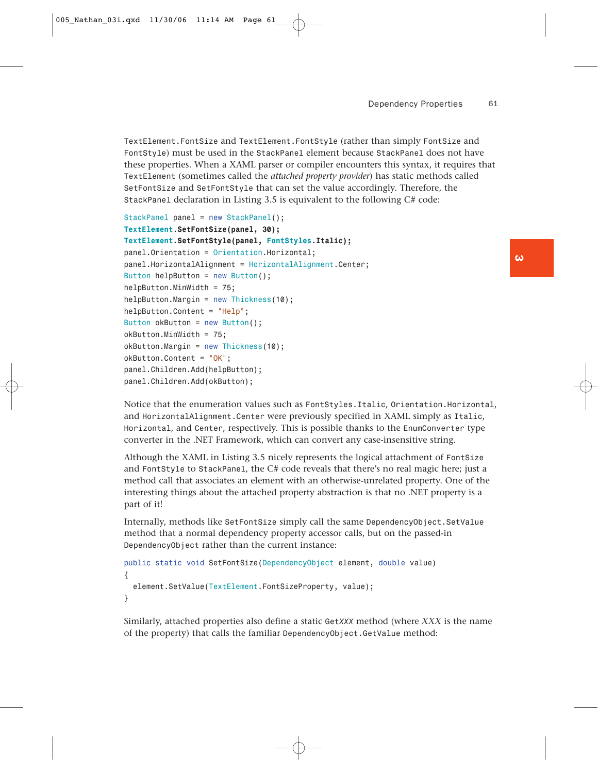TextElement.FontSize and TextElement.FontStyle (rather than simply FontSize and FontStyle) must be used in the StackPanel element because StackPanel does not have these properties. When a XAML parser or compiler encounters this syntax, it requires that TextElement (sometimes called the *attached property provider*) has static methods called SetFontSize and SetFontStyle that can set the value accordingly. Therefore, the StackPanel declaration in Listing 3.5 is equivalent to the following C# code:

```
StackPanel panel = new StackPanel();
TextElement.SetFontSize(panel, 30);
TextElement.SetFontStyle(panel, FontStyles.Italic);
panel.Orientation = Orientation.Horizontal;
panel.HorizontalAlignment = HorizontalAlignment.Center;
Button helpButton = new Button();
helpButton.MinWidth = 75;
helpButton.Margin = new Thickness(10);
helpButton.Content = "Help";
Button okButton = new Button();
okButton.MinWidth = 75;
okButton.Margin = new Thickness(10);
okButton.Content = "OK";
panel.Children.Add(helpButton);
panel.Children.Add(okButton);
```
Notice that the enumeration values such as FontStyles.Italic, Orientation.Horizontal, and HorizontalAlignment.Center were previously specified in XAML simply as Italic, Horizontal, and Center, respectively. This is possible thanks to the EnumConverter type converter in the .NET Framework, which can convert any case-insensitive string.

Although the XAML in Listing 3.5 nicely represents the logical attachment of FontSize and FontStyle to StackPanel, the C# code reveals that there's no real magic here; just a method call that associates an element with an otherwise-unrelated property. One of the interesting things about the attached property abstraction is that no .NET property is a part of it!

Internally, methods like SetFontSize simply call the same DependencyObject.SetValue method that a normal dependency property accessor calls, but on the passed-in DependencyObject rather than the current instance:

```
public static void SetFontSize(DependencyObject element, double value)
{
  element.SetValue(TextElement.FontSizeProperty, value);
}
```
Similarly, attached properties also define a static Get*XXX* method (where *XXX* is the name of the property) that calls the familiar DependencyObject.GetValue method: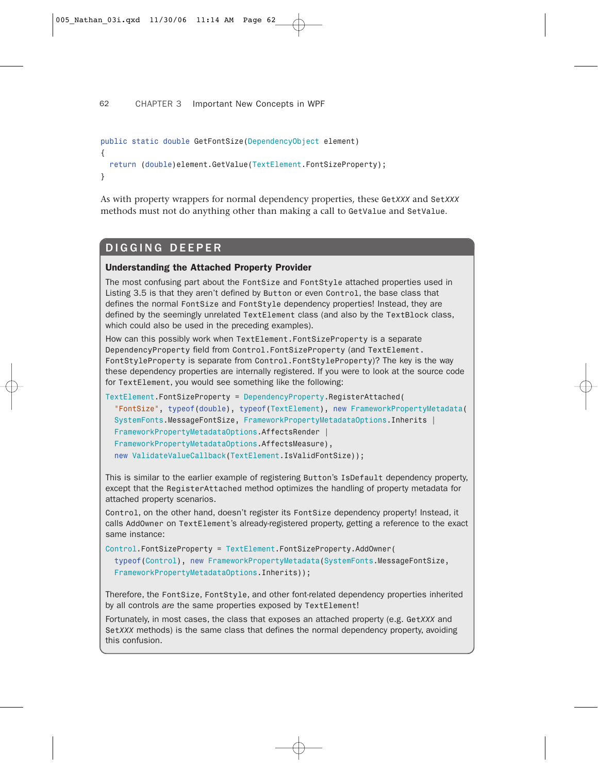```
public static double GetFontSize(DependencyObject element)
{
 return (double)element.GetValue(TextElement.FontSizeProperty);
}
```
As with property wrappers for normal dependency properties, these Get*XXX* and Set*XXX* methods must not do anything other than making a call to GetValue and SetValue.

### DIGGING DEEPER

#### Understanding the Attached Property Provider

The most confusing part about the FontSize and FontStyle attached properties used in Listing 3.5 is that they aren't defined by Button or even Control, the base class that defines the normal FontSize and FontStyle dependency properties! Instead, they are defined by the seemingly unrelated TextElement class (and also by the TextBlock class, which could also be used in the preceding examples).

How can this possibly work when TextElement.FontSizeProperty is a separate DependencyProperty field from Control.FontSizeProperty (and TextElement. FontStyleProperty is separate from Control.FontStyleProperty)? The key is the way these dependency properties are internally registered. If you were to look at the source code for TextElement, you would see something like the following:

```
TextElement.FontSizeProperty = DependencyProperty.RegisterAttached(
  "FontSize", typeof(double), typeof(TextElement), new FrameworkPropertyMetadata(
  SystemFonts.MessageFontSize, FrameworkPropertyMetadataOptions.Inherits |
  FrameworkPropertyMetadataOptions.AffectsRender |
  FrameworkPropertyMetadataOptions.AffectsMeasure),
  new ValidateValueCallback(TextElement.IsValidFontSize));
```
This is similar to the earlier example of registering Button's IsDefault dependency property, except that the RegisterAttached method optimizes the handling of property metadata for attached property scenarios.

Control, on the other hand, doesn't register its FontSize dependency property! Instead, it calls AddOwner on TextElement's already-registered property, getting a reference to the exact same instance:

```
Control.FontSizeProperty = TextElement.FontSizeProperty.AddOwner(
  typeof(Control), new FrameworkPropertyMetadata(SystemFonts.MessageFontSize, 
  FrameworkPropertyMetadataOptions.Inherits));
```
Therefore, the FontSize, FontStyle, and other font-related dependency properties inherited by all controls *are* the same properties exposed by TextElement!

Fortunately, in most cases, the class that exposes an attached property (e.g. Get*XXX* and Set*XXX* methods) is the same class that defines the normal dependency property, avoiding this confusion.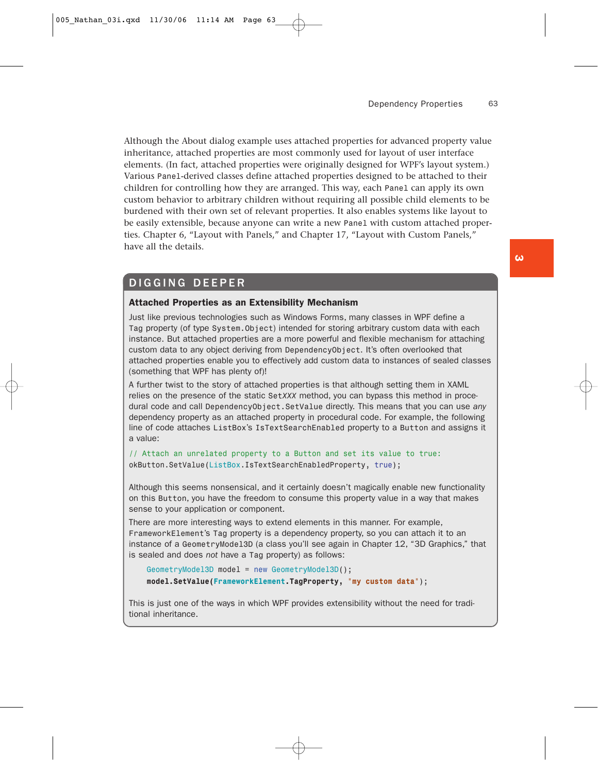Although the About dialog example uses attached properties for advanced property value inheritance, attached properties are most commonly used for layout of user interface elements. (In fact, attached properties were originally designed for WPF's layout system.) Various Panel-derived classes define attached properties designed to be attached to their children for controlling how they are arranged. This way, each Panel can apply its own custom behavior to arbitrary children without requiring all possible child elements to be burdened with their own set of relevant properties. It also enables systems like layout to be easily extensible, because anyone can write a new Panel with custom attached properties. Chapter 6, "Layout with Panels," and Chapter 17, "Layout with Custom Panels," have all the details.

### DIGGING DEEPER

#### Attached Properties as an Extensibility Mechanism

Just like previous technologies such as Windows Forms, many classes in WPF define a Tag property (of type System.Object) intended for storing arbitrary custom data with each instance. But attached properties are a more powerful and flexible mechanism for attaching custom data to any object deriving from DependencyObject. It's often overlooked that attached properties enable you to effectively add custom data to instances of sealed classes (something that WPF has plenty of)!

A further twist to the story of attached properties is that although setting them in XAML relies on the presence of the static Set*XXX* method, you can bypass this method in procedural code and call DependencyObject.SetValue directly. This means that you can use *any* dependency property as an attached property in procedural code. For example, the following line of code attaches ListBox's IsTextSearchEnabled property to a Button and assigns it a value:

```
// Attach an unrelated property to a Button and set its value to true:
okButton.SetValue(ListBox.IsTextSearchEnabledProperty, true);
```
Although this seems nonsensical, and it certainly doesn't magically enable new functionality on this Button, you have the freedom to consume this property value in a way that makes sense to your application or component.

There are more interesting ways to extend elements in this manner. For example, FrameworkElement's Tag property is a dependency property, so you can attach it to an instance of a GeometryModel3D (a class you'll see again in Chapter 12, "3D Graphics," that is sealed and does *not* have a Tag property) as follows:

```
GeometryModel3D model = new GeometryModel3D();
model.SetValue(FrameworkElement.TagProperty, "my custom data");
```
This is just one of the ways in which WPF provides extensibility without the need for traditional inheritance.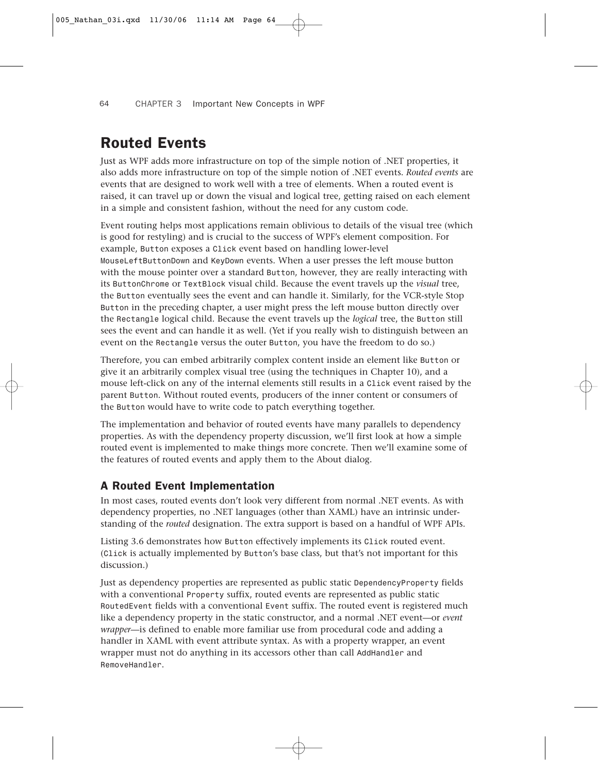# Routed Events

Just as WPF adds more infrastructure on top of the simple notion of .NET properties, it also adds more infrastructure on top of the simple notion of .NET events. *Routed events* are events that are designed to work well with a tree of elements. When a routed event is raised, it can travel up or down the visual and logical tree, getting raised on each element in a simple and consistent fashion, without the need for any custom code.

Event routing helps most applications remain oblivious to details of the visual tree (which is good for restyling) and is crucial to the success of WPF's element composition. For example, Button exposes a Click event based on handling lower-level MouseLeftButtonDown and KeyDown events. When a user presses the left mouse button with the mouse pointer over a standard Button, however, they are really interacting with its ButtonChrome or TextBlock visual child. Because the event travels up the *visual* tree, the Button eventually sees the event and can handle it. Similarly, for the VCR-style Stop Button in the preceding chapter, a user might press the left mouse button directly over the Rectangle logical child. Because the event travels up the *logical* tree, the Button still sees the event and can handle it as well. (Yet if you really wish to distinguish between an event on the Rectangle versus the outer Button, you have the freedom to do so.)

Therefore, you can embed arbitrarily complex content inside an element like Button or give it an arbitrarily complex visual tree (using the techniques in Chapter 10), and a mouse left-click on any of the internal elements still results in a Click event raised by the parent Button. Without routed events, producers of the inner content or consumers of the Button would have to write code to patch everything together.

The implementation and behavior of routed events have many parallels to dependency properties. As with the dependency property discussion, we'll first look at how a simple routed event is implemented to make things more concrete. Then we'll examine some of the features of routed events and apply them to the About dialog.

### A Routed Event Implementation

In most cases, routed events don't look very different from normal .NET events. As with dependency properties, no .NET languages (other than XAML) have an intrinsic understanding of the *routed* designation. The extra support is based on a handful of WPF APIs.

Listing 3.6 demonstrates how Button effectively implements its Click routed event. (Click is actually implemented by Button's base class, but that's not important for this discussion.)

Just as dependency properties are represented as public static DependencyProperty fields with a conventional Property suffix, routed events are represented as public static RoutedEvent fields with a conventional Event suffix. The routed event is registered much like a dependency property in the static constructor, and a normal .NET event—or *event wrapper*—is defined to enable more familiar use from procedural code and adding a handler in XAML with event attribute syntax. As with a property wrapper, an event wrapper must not do anything in its accessors other than call AddHandler and RemoveHandler.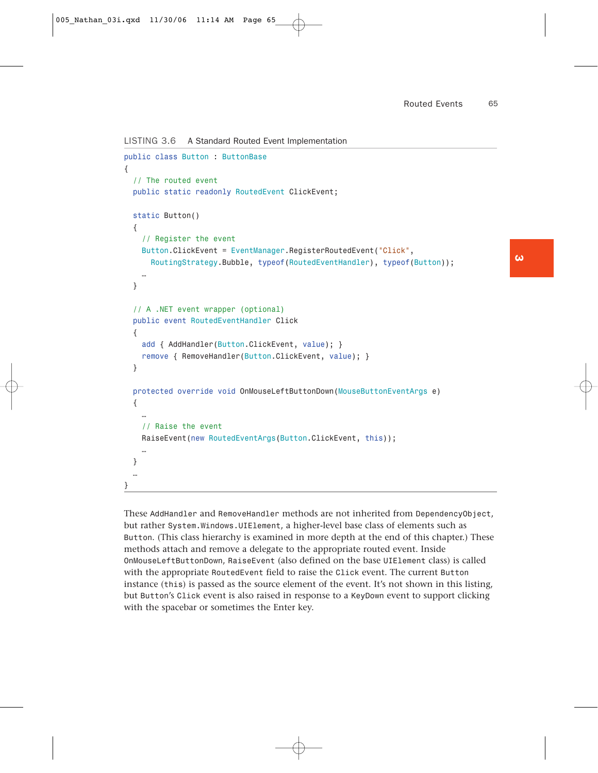LISTING 3.6 A Standard Routed Event Implementation

```
public class Button : ButtonBase
{
  // The routed event
  public static readonly RoutedEvent ClickEvent;
  static Button()
  {
    // Register the event
    Button.ClickEvent = EventManager.RegisterRoutedEvent("Click",
      RoutingStrategy.Bubble, typeof(RoutedEventHandler), typeof(Button));
    …
  }
  // A .NET event wrapper (optional)
  public event RoutedEventHandler Click
  {
    add { AddHandler(Button.ClickEvent, value); }
    remove { RemoveHandler(Button.ClickEvent, value); }
  }
  protected override void OnMouseLeftButtonDown(MouseButtonEventArgs e)
  {
    …
    // Raise the event
    RaiseEvent(new RoutedEventArgs(Button.ClickEvent, this));
    …
  }
  …
}
```
These AddHandler and RemoveHandler methods are not inherited from DependencyObject, but rather System.Windows.UIElement, a higher-level base class of elements such as Button. (This class hierarchy is examined in more depth at the end of this chapter.) These methods attach and remove a delegate to the appropriate routed event. Inside OnMouseLeftButtonDown, RaiseEvent (also defined on the base UIElement class) is called with the appropriate RoutedEvent field to raise the Click event. The current Button instance (this) is passed as the source element of the event. It's not shown in this listing, but Button's Click event is also raised in response to a KeyDown event to support clicking with the spacebar or sometimes the Enter key.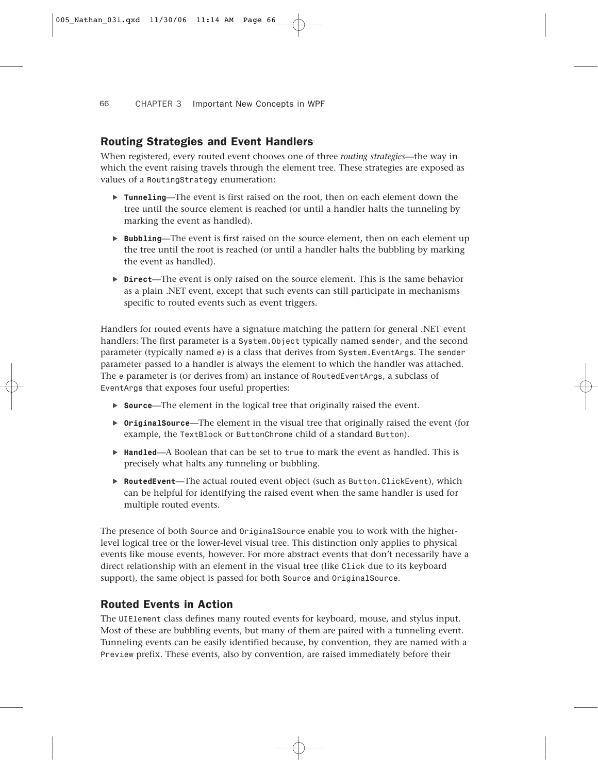### Routing Strategies and Event Handlers

When registered, every routed event chooses one of three *routing strategies*—the way in which the event raising travels through the element tree. These strategies are exposed as values of a RoutingStrategy enumeration:

- . **Tunneling**—The event is first raised on the root, then on each element down the tree until the source element is reached (or until a handler halts the tunneling by marking the event as handled).
- . **Bubbling**—The event is first raised on the source element, then on each element up the tree until the root is reached (or until a handler halts the bubbling by marking the event as handled).
- . **Direct**—The event is only raised on the source element. This is the same behavior as a plain .NET event, except that such events can still participate in mechanisms specific to routed events such as event triggers.

Handlers for routed events have a signature matching the pattern for general .NET event handlers: The first parameter is a System.Object typically named sender, and the second parameter (typically named e) is a class that derives from System.EventArgs. The sender parameter passed to a handler is always the element to which the handler was attached. The e parameter is (or derives from) an instance of RoutedEventArgs, a subclass of EventArgs that exposes four useful properties:

- . **Source**—The element in the logical tree that originally raised the event.
- . **OriginalSource**—The element in the visual tree that originally raised the event (for example, the TextBlock or ButtonChrome child of a standard Button).
- . **Handled**—A Boolean that can be set to true to mark the event as handled. This is precisely what halts any tunneling or bubbling.
- . **RoutedEvent**—The actual routed event object (such as Button.ClickEvent), which can be helpful for identifying the raised event when the same handler is used for multiple routed events.

The presence of both Source and OriginalSource enable you to work with the higherlevel logical tree or the lower-level visual tree. This distinction only applies to physical events like mouse events, however. For more abstract events that don't necessarily have a direct relationship with an element in the visual tree (like Click due to its keyboard support), the same object is passed for both Source and OriginalSource.

### Routed Events in Action

The UIElement class defines many routed events for keyboard, mouse, and stylus input. Most of these are bubbling events, but many of them are paired with a tunneling event. Tunneling events can be easily identified because, by convention, they are named with a Preview prefix. These events, also by convention, are raised immediately before their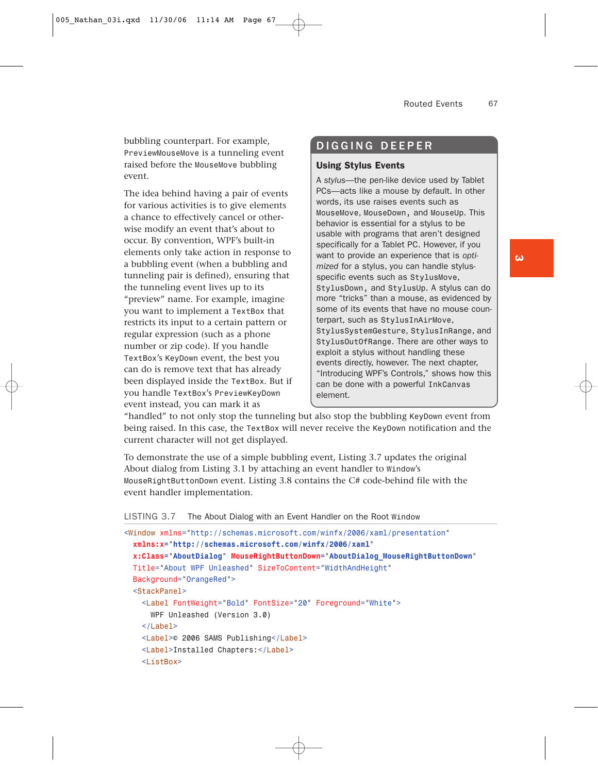bubbling counterpart. For example, PreviewMouseMove is a tunneling event raised before the MouseMove bubbling event.

The idea behind having a pair of events for various activities is to give elements a chance to effectively cancel or otherwise modify an event that's about to occur. By convention, WPF's built-in elements only take action in response to a bubbling event (when a bubbling and tunneling pair is defined), ensuring that the tunneling event lives up to its "preview" name. For example, imagine you want to implement a TextBox that restricts its input to a certain pattern or regular expression (such as a phone number or zip code). If you handle TextBox's KeyDown event, the best you can do is remove text that has already been displayed inside the TextBox. But if you handle TextBox's PreviewKeyDown event instead, you can mark it as

### DIGGING DEEPER

#### Using Stylus Events

A *stylus*—the pen-like device used by Tablet PCs—acts like a mouse by default. In other words, its use raises events such as MouseMove, MouseDown, and MouseUp. This behavior is essential for a stylus to be usable with programs that aren't designed specifically for a Tablet PC. However, if you want to provide an experience that is *optimized* for a stylus, you can handle stylusspecific events such as StylusMove, StylusDown, and StylusUp. A stylus can do more "tricks" than a mouse, as evidenced by some of its events that have no mouse counterpart, such as StylusInAirMove, StylusSystemGesture, StylusInRange, and StylusOutOfRange. There are other ways to exploit a stylus without handling these events directly, however. The next chapter, "Introducing WPF's Controls," shows how this can be done with a powerful InkCanvas element.

"handled" to not only stop the tunneling but also stop the bubbling KeyDown event from being raised. In this case, the TextBox will never receive the KeyDown notification and the current character will not get displayed.

To demonstrate the use of a simple bubbling event, Listing 3.7 updates the original About dialog from Listing 3.1 by attaching an event handler to Window's MouseRightButtonDown event. Listing 3.8 contains the C# code-behind file with the event handler implementation.

```
LISTING 3.7 The About Dialog with an Event Handler on the Root Window
```

```
<Window xmlns="http://schemas.microsoft.com/winfx/2006/xaml/presentation"
  xmlns:x="http://schemas.microsoft.com/winfx/2006/xaml"
  x:Class="AboutDialog" MouseRightButtonDown="AboutDialog_MouseRightButtonDown"
  Title="About WPF Unleashed" SizeToContent="WidthAndHeight"
  Background="OrangeRed">
  <StackPanel>
    <Label FontWeight="Bold" FontSize="20" Foreground="White">
     WPF Unleashed (Version 3.0)
    </Label>
    <Label>© 2006 SAMS Publishing</Label>
    <Label>Installed Chapters:</Label>
    <ListBox>
```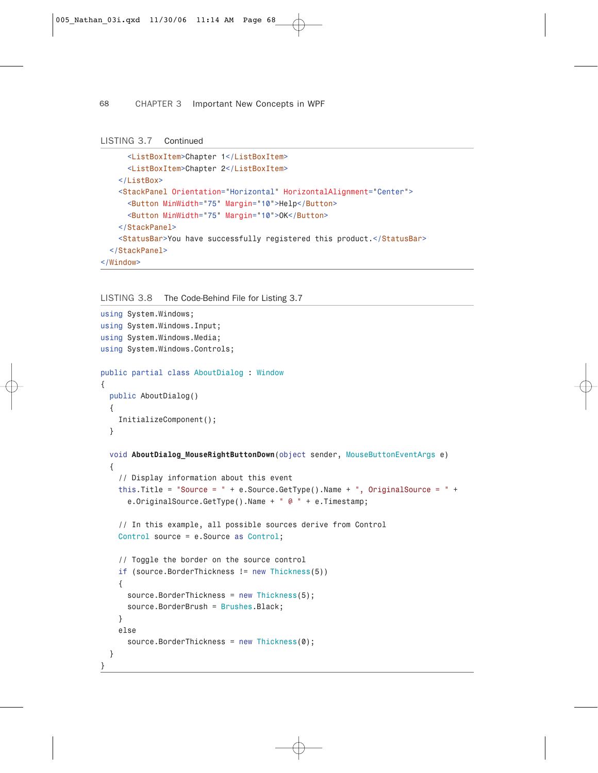#### LISTING 3.7 Continued

```
<ListBoxItem>Chapter 1</ListBoxItem>
     <ListBoxItem>Chapter 2</ListBoxItem>
   </ListBox>
   <StackPanel Orientation="Horizontal" HorizontalAlignment="Center">
     <Button MinWidth="75" Margin="10">Help</Button>
      <Button MinWidth="75" Margin="10">OK</Button>
   </StackPanel>
   <StatusBar>You have successfully registered this product.</StatusBar>
 </StackPanel>
</Window>
```
LISTING 3.8 The Code-Behind File for Listing 3.7

```
using System.Windows;
using System.Windows.Input;
using System.Windows.Media;
using System.Windows.Controls;
public partial class AboutDialog : Window
{
  public AboutDialog()
  {
    InitializeComponent();
  }
  void AboutDialog_MouseRightButtonDown(object sender, MouseButtonEventArgs e)
  {
    // Display information about this event
    this.Title = "Source = " + e.Source.GetType().Name + ", OriginalSource = " +
      e.OriginalSource.GetType().Name + " @ " + e.Timestamp;
    // In this example, all possible sources derive from Control
    Control source = e.Source as Control;
    // Toggle the border on the source control
    if (source.BorderThickness != new Thickness(5))
    {
      source.BorderThickness = new Thickness(5);
      source.BorderBrush = Brushes.Black;
    }
    else
      source.BorderThickness = new Thickness(0);
  }
}
```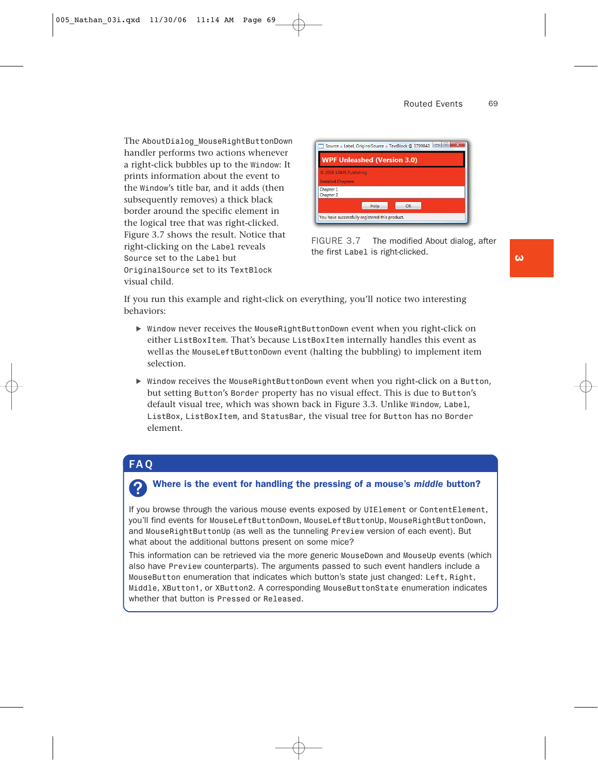The AboutDialog\_MouseRightButtonDown handler performs two actions whenever a right-click bubbles up to the Window: It prints information about the event to the Window's title bar, and it adds (then subsequently removes) a thick black border around the specific element in the logical tree that was right-clicked. Figure 3.7 shows the result. Notice that right-clicking on the Label reveals Source set to the Label but OriginalSource set to its TextBlock visual child.





If you run this example and right-click on everything, you'll notice two interesting behaviors:

- . Window never receives the MouseRightButtonDown event when you right-click on either ListBoxItem. That's because ListBoxItem internally handles this event as well as the MouseLeftButtonDown event (halting the bubbling) to implement item selection.
- $\triangleright$  Window receives the MouseRightButtonDown event when you right-click on a Button, but setting Button's Border property has no visual effect. This is due to Button's default visual tree, which was shown back in Figure 3.3. Unlike Window, Label, ListBox, ListBoxItem, and StatusBar, the visual tree for Button has no Border element.

### FAQ

#### Where is the event for handling the pressing of a mouse's *middle* button? ?

If you browse through the various mouse events exposed by UIElement or ContentElement, you'll find events for MouseLeftButtonDown, MouseLeftButtonUp, MouseRightButtonDown, and MouseRightButtonUp (as well as the tunneling Preview version of each event). But what about the additional buttons present on some mice?

This information can be retrieved via the more generic MouseDown and MouseUp events (which also have Preview counterparts). The arguments passed to such event handlers include a MouseButton enumeration that indicates which button's state just changed: Left, Right, Middle, XButton1, or XButton2. A corresponding MouseButtonState enumeration indicates whether that button is Pressed or Released.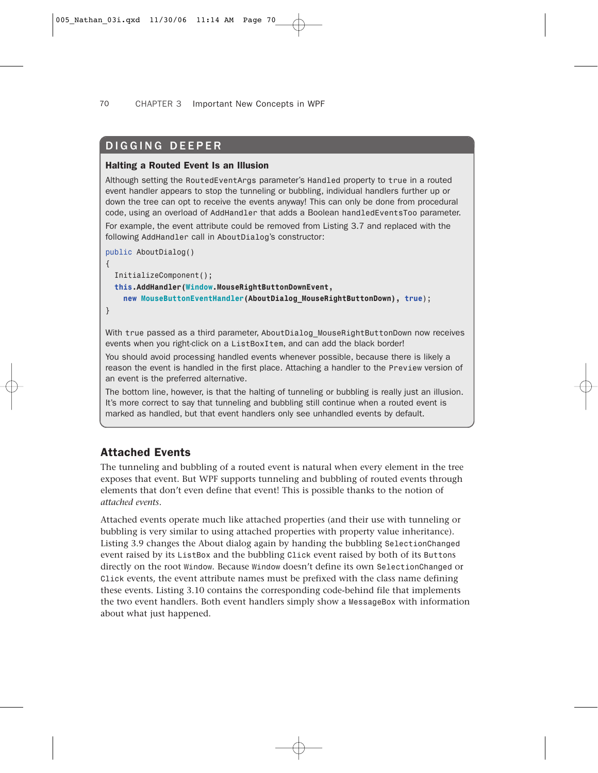### DIGGING DEEPER

#### Halting a Routed Event Is an Illusion

Although setting the RoutedEventArgs parameter's Handled property to true in a routed event handler appears to stop the tunneling or bubbling, individual handlers further up or down the tree can opt to receive the events anyway! This can only be done from procedural code, using an overload of AddHandler that adds a Boolean handledEventsToo parameter.

For example, the event attribute could be removed from Listing 3.7 and replaced with the following AddHandler call in AboutDialog's constructor:

```
public AboutDialog()
```

```
{
```

```
InitializeComponent();
this.AddHandler(Window.MouseRightButtonDownEvent,
  new MouseButtonEventHandler(AboutDialog_MouseRightButtonDown), true);
```
}

With true passed as a third parameter, AboutDialog\_MouseRightButtonDown now receives events when you right-click on a ListBoxItem, and can add the black border!

You should avoid processing handled events whenever possible, because there is likely a reason the event is handled in the first place. Attaching a handler to the Preview version of an event is the preferred alternative.

The bottom line, however, is that the halting of tunneling or bubbling is really just an illusion. It's more correct to say that tunneling and bubbling still continue when a routed event is marked as handled, but that event handlers only see unhandled events by default.

### Attached Events

The tunneling and bubbling of a routed event is natural when every element in the tree exposes that event. But WPF supports tunneling and bubbling of routed events through elements that don't even define that event! This is possible thanks to the notion of *attached events*.

Attached events operate much like attached properties (and their use with tunneling or bubbling is very similar to using attached properties with property value inheritance). Listing 3.9 changes the About dialog again by handing the bubbling SelectionChanged event raised by its ListBox and the bubbling Click event raised by both of its Buttons directly on the root Window. Because Window doesn't define its own SelectionChanged or Click events, the event attribute names must be prefixed with the class name defining these events. Listing 3.10 contains the corresponding code-behind file that implements the two event handlers. Both event handlers simply show a MessageBox with information about what just happened.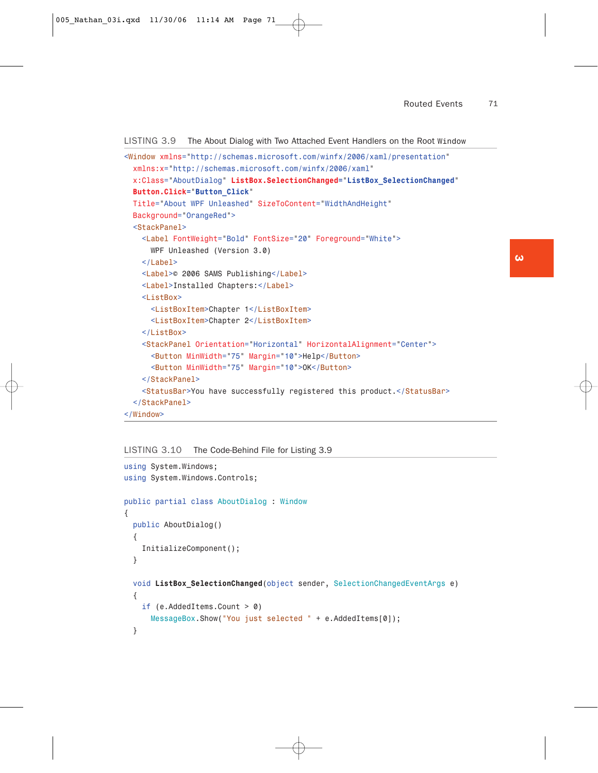```
LISTING 3.9 The About Dialog with Two Attached Event Handlers on the Root Window
```

```
<Window xmlns="http://schemas.microsoft.com/winfx/2006/xaml/presentation"
  xmlns:x="http://schemas.microsoft.com/winfx/2006/xaml"
  x:Class="AboutDialog" ListBox.SelectionChanged="ListBox_SelectionChanged"
  Button.Click="Button_Click"
 Title="About WPF Unleashed" SizeToContent="WidthAndHeight"
  Background="OrangeRed">
  <StackPanel>
    <Label FontWeight="Bold" FontSize="20" Foreground="White">
     WPF Unleashed (Version 3.0)
    </Label>
    <Label>© 2006 SAMS Publishing</Label>
    <Label>Installed Chapters:</Label>
    <ListBox>
      <ListBoxItem>Chapter 1</ListBoxItem>
     <ListBoxItem>Chapter 2</ListBoxItem>
    </ListBox>
    <StackPanel Orientation="Horizontal" HorizontalAlignment="Center">
      <Button MinWidth="75" Margin="10">Help</Button>
      <Button MinWidth="75" Margin="10">OK</Button>
    </StackPanel>
    <StatusBar>You have successfully registered this product.</StatusBar>
  </StackPanel>
</Window>
```
LISTING 3.10 The Code-Behind File for Listing 3.9

```
using System.Windows;
using System.Windows.Controls;
public partial class AboutDialog : Window
{
  public AboutDialog()
  {
    InitializeComponent();
  }
  void ListBox_SelectionChanged(object sender, SelectionChangedEventArgs e)
  {
    if (e.AddedItems.Count > 0)
      MessageBox.Show("You just selected " + e.AddedItems[0]);
  }
```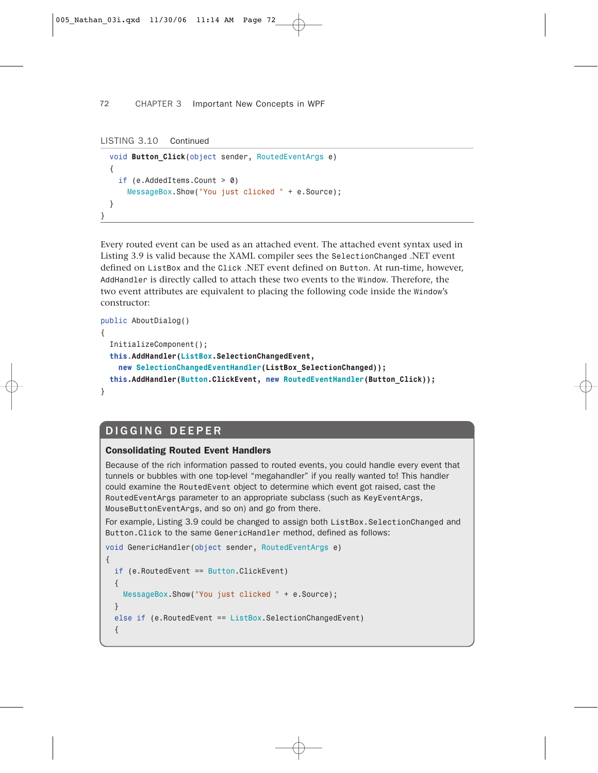```
LISTING 3.10 Continued
```

```
void Button_Click(object sender, RoutedEventArgs e)
  {
    if (e.\text{AddedItems}.\text{Count} > 0)MessageBox.Show("You just clicked " + e.Source);
  }
}
```
Every routed event can be used as an attached event. The attached event syntax used in Listing 3.9 is valid because the XAML compiler sees the SelectionChanged .NET event defined on ListBox and the Click .NET event defined on Button. At run-time, however, AddHandler is directly called to attach these two events to the Window. Therefore, the two event attributes are equivalent to placing the following code inside the Window's constructor:

```
public AboutDialog()
{
  InitializeComponent();
  this.AddHandler(ListBox.SelectionChangedEvent,
    new SelectionChangedEventHandler(ListBox_SelectionChanged));
  this.AddHandler(Button.ClickEvent, new RoutedEventHandler(Button_Click));
}
```
### DIGGING DEEPER

#### Consolidating Routed Event Handlers

Because of the rich information passed to routed events, you could handle every event that tunnels or bubbles with one top-level "megahandler" if you really wanted to! This handler could examine the RoutedEvent object to determine which event got raised, cast the RoutedEventArgs parameter to an appropriate subclass (such as KeyEventArgs, MouseButtonEventArgs, and so on) and go from there.

For example, Listing 3.9 could be changed to assign both ListBox.SelectionChanged and Button.Click to the same GenericHandler method, defined as follows:

```
void GenericHandler(object sender, RoutedEventArgs e)
{
  if (e.RoutedEvent == Button.ClickEvent)
  {
   MessageBox.Show("You just clicked " + e.Source);
  }
  else if (e.RoutedEvent == ListBox.SelectionChangedEvent)
  {
```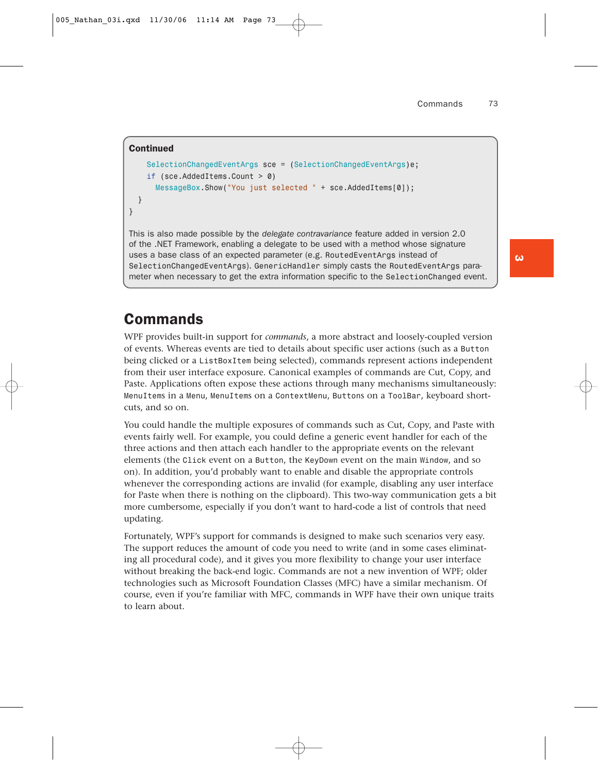#### **Continued**

}

```
SelectionChangedEventArgs sce = (SelectionChangedEventArgs)e;
  if (sce.AddedItems.Count > 0)
    MessageBox.Show("You just selected " + sce.AddedItems[0]);
}
```
This is also made possible by the *delegate contravariance* feature added in version 2.0 of the .NET Framework, enabling a delegate to be used with a method whose signature uses a base class of an expected parameter (e.g. RoutedEventArgs instead of SelectionChangedEventArgs). GenericHandler simply casts the RoutedEventArgs parameter when necessary to get the extra information specific to the SelectionChanged event.

# **Commands**

WPF provides built-in support for *commands*, a more abstract and loosely-coupled version of events. Whereas events are tied to details about specific user actions (such as a Button being clicked or a ListBoxItem being selected), commands represent actions independent from their user interface exposure. Canonical examples of commands are Cut, Copy, and Paste. Applications often expose these actions through many mechanisms simultaneously: MenuItems in a Menu, MenuItems on a ContextMenu, Buttons on a ToolBar, keyboard shortcuts, and so on.

You could handle the multiple exposures of commands such as Cut, Copy, and Paste with events fairly well. For example, you could define a generic event handler for each of the three actions and then attach each handler to the appropriate events on the relevant elements (the Click event on a Button, the KeyDown event on the main Window, and so on). In addition, you'd probably want to enable and disable the appropriate controls whenever the corresponding actions are invalid (for example, disabling any user interface for Paste when there is nothing on the clipboard). This two-way communication gets a bit more cumbersome, especially if you don't want to hard-code a list of controls that need updating.

Fortunately, WPF's support for commands is designed to make such scenarios very easy. The support reduces the amount of code you need to write (and in some cases eliminating all procedural code), and it gives you more flexibility to change your user interface without breaking the back-end logic. Commands are not a new invention of WPF; older technologies such as Microsoft Foundation Classes (MFC) have a similar mechanism. Of course, even if you're familiar with MFC, commands in WPF have their own unique traits to learn about.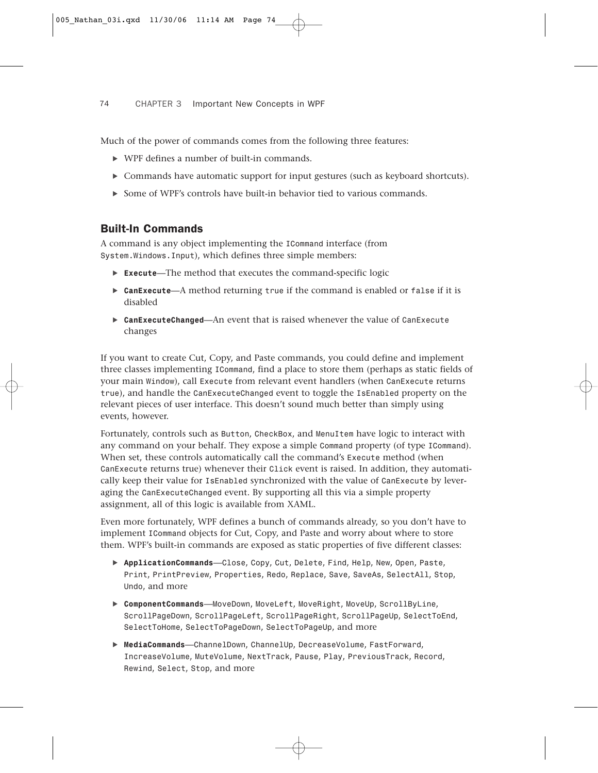Much of the power of commands comes from the following three features:

- $\triangleright$  WPF defines a number of built-in commands.
- $\triangleright$  Commands have automatic support for input gestures (such as keyboard shortcuts).
- $\triangleright$  Some of WPF's controls have built-in behavior tied to various commands.

### Built-In Commands

A command is any object implementing the ICommand interface (from System.Windows.Input), which defines three simple members:

- . **Execute**—The method that executes the command-specific logic
- . **CanExecute**—A method returning true if the command is enabled or false if it is disabled
- . **CanExecuteChanged**—An event that is raised whenever the value of CanExecute changes

If you want to create Cut, Copy, and Paste commands, you could define and implement three classes implementing ICommand, find a place to store them (perhaps as static fields of your main Window), call Execute from relevant event handlers (when CanExecute returns true), and handle the CanExecuteChanged event to toggle the IsEnabled property on the relevant pieces of user interface. This doesn't sound much better than simply using events, however.

Fortunately, controls such as Button, CheckBox, and MenuItem have logic to interact with any command on your behalf. They expose a simple Command property (of type ICommand). When set, these controls automatically call the command's Execute method (when CanExecute returns true) whenever their Click event is raised. In addition, they automatically keep their value for IsEnabled synchronized with the value of CanExecute by leveraging the CanExecuteChanged event. By supporting all this via a simple property assignment, all of this logic is available from XAML.

Even more fortunately, WPF defines a bunch of commands already, so you don't have to implement ICommand objects for Cut, Copy, and Paste and worry about where to store them. WPF's built-in commands are exposed as static properties of five different classes:

- . **ApplicationCommands**—Close, Copy, Cut, Delete, Find, Help, New, Open, Paste, Print, PrintPreview, Properties, Redo, Replace, Save, SaveAs, SelectAll, Stop, Undo, and more
- . **ComponentCommands**—MoveDown, MoveLeft, MoveRight, MoveUp, ScrollByLine, ScrollPageDown, ScrollPageLeft, ScrollPageRight, ScrollPageUp, SelectToEnd, SelectToHome, SelectToPageDown, SelectToPageUp, and more
- . **MediaCommands**—ChannelDown, ChannelUp, DecreaseVolume, FastForward, IncreaseVolume, MuteVolume, NextTrack, Pause, Play, PreviousTrack, Record, Rewind, Select, Stop, and more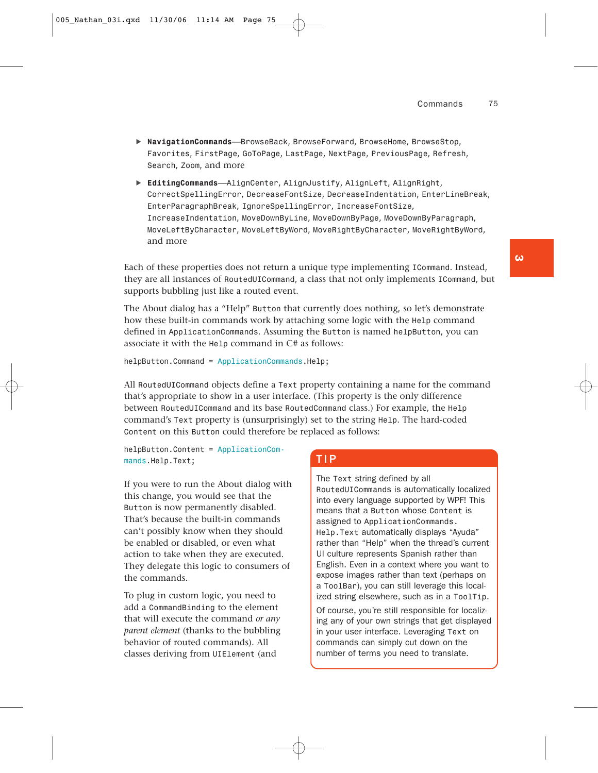- . **NavigationCommands**—BrowseBack, BrowseForward, BrowseHome, BrowseStop, Favorites, FirstPage, GoToPage, LastPage, NextPage, PreviousPage, Refresh, Search, Zoom, and more
- . **EditingCommands**—AlignCenter, AlignJustify, AlignLeft, AlignRight, CorrectSpellingError, DecreaseFontSize, DecreaseIndentation, EnterLineBreak, EnterParagraphBreak, IgnoreSpellingError, IncreaseFontSize, IncreaseIndentation, MoveDownByLine, MoveDownByPage, MoveDownByParagraph, MoveLeftByCharacter, MoveLeftByWord, MoveRightByCharacter, MoveRightByWord, and more

Each of these properties does not return a unique type implementing ICommand. Instead, they are all instances of RoutedUICommand, a class that not only implements ICommand, but supports bubbling just like a routed event.

The About dialog has a "Help" Button that currently does nothing, so let's demonstrate how these built-in commands work by attaching some logic with the Help command defined in ApplicationCommands. Assuming the Button is named helpButton, you can associate it with the Help command in C# as follows:

helpButton.Command = ApplicationCommands.Help;

All RoutedUICommand objects define a Text property containing a name for the command that's appropriate to show in a user interface. (This property is the only difference between RoutedUICommand and its base RoutedCommand class.) For example, the Help command's Text property is (unsurprisingly) set to the string Help. The hard-coded Content on this Button could therefore be replaced as follows:

helpButton.Content = ApplicationCommands.Help.Text;

If you were to run the About dialog with this change, you would see that the Button is now permanently disabled. That's because the built-in commands can't possibly know when they should be enabled or disabled, or even what action to take when they are executed. They delegate this logic to consumers of the commands.

To plug in custom logic, you need to add a CommandBinding to the element that will execute the command *or any parent element* (thanks to the bubbling behavior of routed commands). All classes deriving from UIElement (and

### TIP

The Text string defined by all RoutedUICommands is automatically localized into every language supported by WPF! This means that a Button whose Content is assigned to ApplicationCommands. Help.Text automatically displays "Ayuda" rather than "Help" when the thread's current UI culture represents Spanish rather than English. Even in a context where you want to expose images rather than text (perhaps on a ToolBar), you can still leverage this localized string elsewhere, such as in a ToolTip.

Of course, you're still responsible for localizing any of your own strings that get displayed in your user interface. Leveraging Text on commands can simply cut down on the number of terms you need to translate.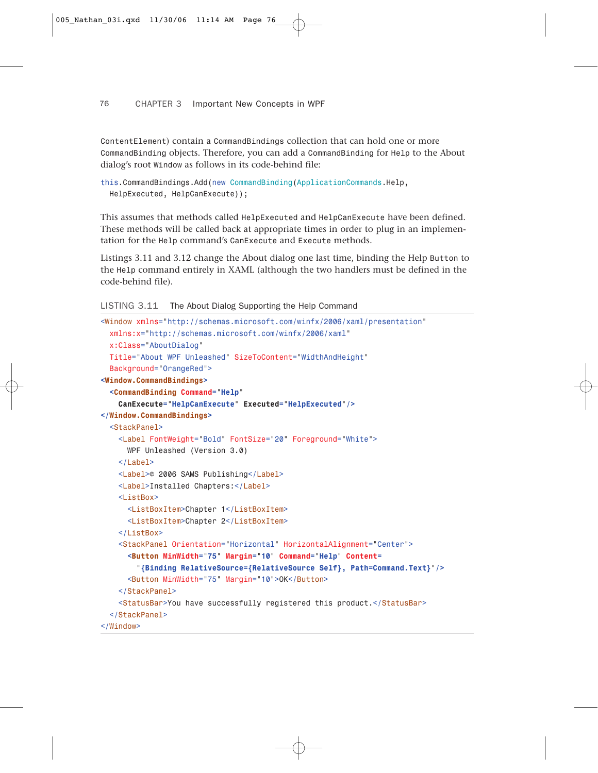ContentElement) contain a CommandBindings collection that can hold one or more CommandBinding objects. Therefore, you can add a CommandBinding for Help to the About dialog's root Window as follows in its code-behind file:

```
this.CommandBindings.Add(new CommandBinding(ApplicationCommands.Help,
 HelpExecuted, HelpCanExecute));
```
This assumes that methods called HelpExecuted and HelpCanExecute have been defined. These methods will be called back at appropriate times in order to plug in an implementation for the Help command's CanExecute and Execute methods.

Listings 3.11 and 3.12 change the About dialog one last time, binding the Help Button to the Help command entirely in XAML (although the two handlers must be defined in the code-behind file).

LISTING 3.11 The About Dialog Supporting the Help Command

```
<Window xmlns="http://schemas.microsoft.com/winfx/2006/xaml/presentation"
  xmlns:x="http://schemas.microsoft.com/winfx/2006/xaml"
  x:Class="AboutDialog" 
  Title="About WPF Unleashed" SizeToContent="WidthAndHeight"
  Background="OrangeRed">
<Window.CommandBindings>
  <CommandBinding Command="Help"
    CanExecute="HelpCanExecute" Executed="HelpExecuted"/>
</Window.CommandBindings>
  <StackPanel>
    <Label FontWeight="Bold" FontSize="20" Foreground="White">
     WPF Unleashed (Version 3.0)
    </Label>
    <Label>© 2006 SAMS Publishing</Label>
    <Label>Installed Chapters:</Label>
    <ListBox>
      <ListBoxItem>Chapter 1</ListBoxItem>
      <ListBoxItem>Chapter 2</ListBoxItem>
    </ListBox>
    <StackPanel Orientation="Horizontal" HorizontalAlignment="Center">
      <Button MinWidth="75" Margin="10" Command="Help" Content=
        "{Binding RelativeSource={RelativeSource Self}, Path=Command.Text}"/>
      <Button MinWidth="75" Margin="10">OK</Button>
    </StackPanel>
    <StatusBar>You have successfully registered this product.</StatusBar>
  </StackPanel>
</Window>
```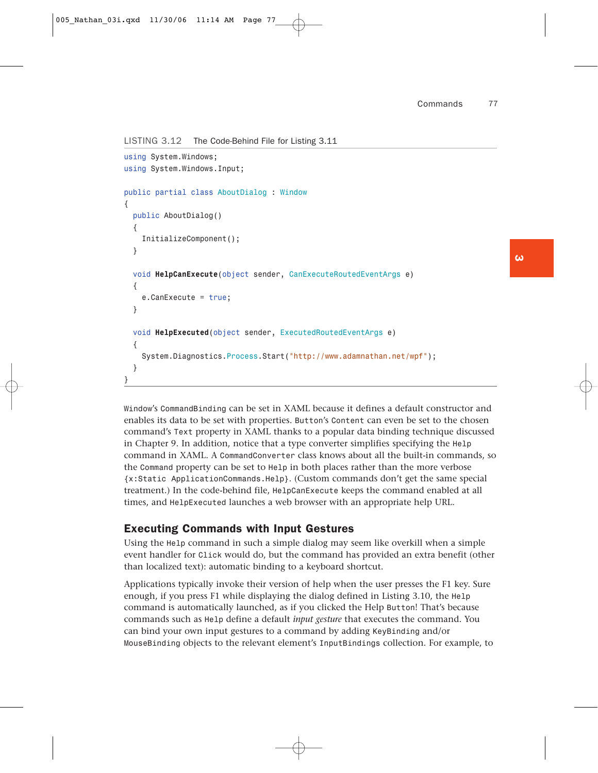LISTING 3.12 The Code-Behind File for Listing 3.11

```
using System.Windows;
using System.Windows.Input;
public partial class AboutDialog : Window
{
  public AboutDialog()
  {
    InitializeComponent();
  }
  void HelpCanExecute(object sender, CanExecuteRoutedEventArgs e)
  {
    e.CanExecute = true;
  }
  void HelpExecuted(object sender, ExecutedRoutedEventArgs e)
  {
    System.Diagnostics.Process.Start("http://www.adamnathan.net/wpf");
  }
}
```
Window's CommandBinding can be set in XAML because it defines a default constructor and enables its data to be set with properties. Button's Content can even be set to the chosen command's Text property in XAML thanks to a popular data binding technique discussed in Chapter 9. In addition, notice that a type converter simplifies specifying the Help command in XAML. A CommandConverter class knows about all the built-in commands, so the Command property can be set to Help in both places rather than the more verbose {x:Static ApplicationCommands.Help}. (Custom commands don't get the same special treatment.) In the code-behind file, HelpCanExecute keeps the command enabled at all times, and HelpExecuted launches a web browser with an appropriate help URL.

#### Executing Commands with Input Gestures

Using the Help command in such a simple dialog may seem like overkill when a simple event handler for Click would do, but the command has provided an extra benefit (other than localized text): automatic binding to a keyboard shortcut.

Applications typically invoke their version of help when the user presses the F1 key. Sure enough, if you press F1 while displaying the dialog defined in Listing 3.10, the Help command is automatically launched, as if you clicked the Help Button! That's because commands such as Help define a default *input gesture* that executes the command. You can bind your own input gestures to a command by adding KeyBinding and/or MouseBinding objects to the relevant element's InputBindings collection. For example, to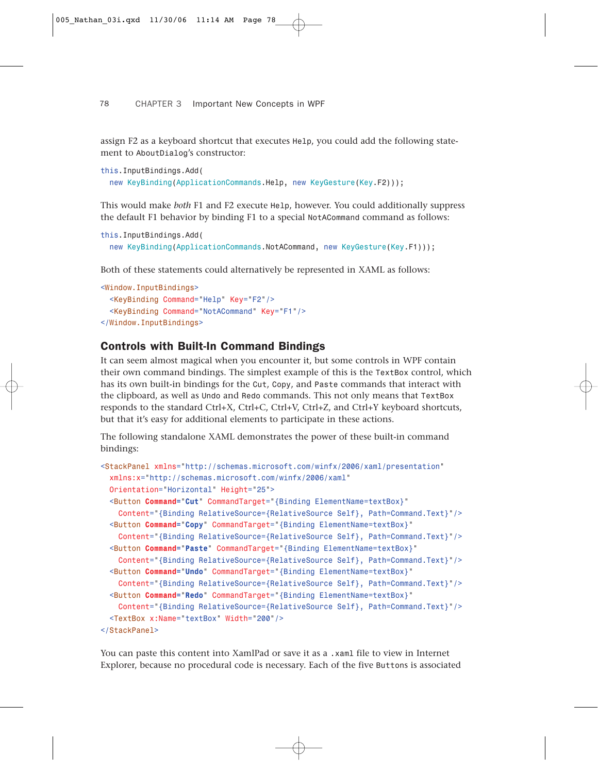assign F2 as a keyboard shortcut that executes Help, you could add the following statement to AboutDialog's constructor:

```
this.InputBindings.Add(
  new KeyBinding(ApplicationCommands.Help, new KeyGesture(Key.F2)));
```
This would make *both* F1 and F2 execute Help, however. You could additionally suppress the default F1 behavior by binding F1 to a special NotACommand command as follows:

```
this.InputBindings.Add(
 new KeyBinding(ApplicationCommands.NotACommand, new KeyGesture(Key.F1)));
```
Both of these statements could alternatively be represented in XAML as follows:

```
<Window.InputBindings>
  <KeyBinding Command="Help" Key="F2"/>
  <KeyBinding Command="NotACommand" Key="F1"/>
</Window.InputBindings>
```
### Controls with Built-In Command Bindings

It can seem almost magical when you encounter it, but some controls in WPF contain their own command bindings. The simplest example of this is the TextBox control, which has its own built-in bindings for the Cut, Copy, and Paste commands that interact with the clipboard, as well as Undo and Redo commands. This not only means that TextBox responds to the standard Ctrl+X, Ctrl+C, Ctrl+V, Ctrl+Z, and Ctrl+Y keyboard shortcuts, but that it's easy for additional elements to participate in these actions.

The following standalone XAML demonstrates the power of these built-in command bindings:

```
<StackPanel xmlns="http://schemas.microsoft.com/winfx/2006/xaml/presentation"
 xmlns:x="http://schemas.microsoft.com/winfx/2006/xaml"
 Orientation="Horizontal" Height="25">
 <Button Command="Cut" CommandTarget="{Binding ElementName=textBox}"
   Content="{Binding RelativeSource={RelativeSource Self}, Path=Command.Text}"/>
 <Button Command="Copy" CommandTarget="{Binding ElementName=textBox}"
   Content="{Binding RelativeSource={RelativeSource Self}, Path=Command.Text}"/>
 <Button Command="Paste" CommandTarget="{Binding ElementName=textBox}"
   Content="{Binding RelativeSource={RelativeSource Self}, Path=Command.Text}"/>
 <Button Command="Undo" CommandTarget="{Binding ElementName=textBox}"
   Content="{Binding RelativeSource={RelativeSource Self}, Path=Command.Text}"/>
 <Button Command="Redo" CommandTarget="{Binding ElementName=textBox}"
   Content="{Binding RelativeSource={RelativeSource Self}, Path=Command.Text}"/>
 <TextBox x:Name="textBox" Width="200"/>
</StackPanel>
```
You can paste this content into XamlPad or save it as a .xaml file to view in Internet Explorer, because no procedural code is necessary. Each of the five Buttons is associated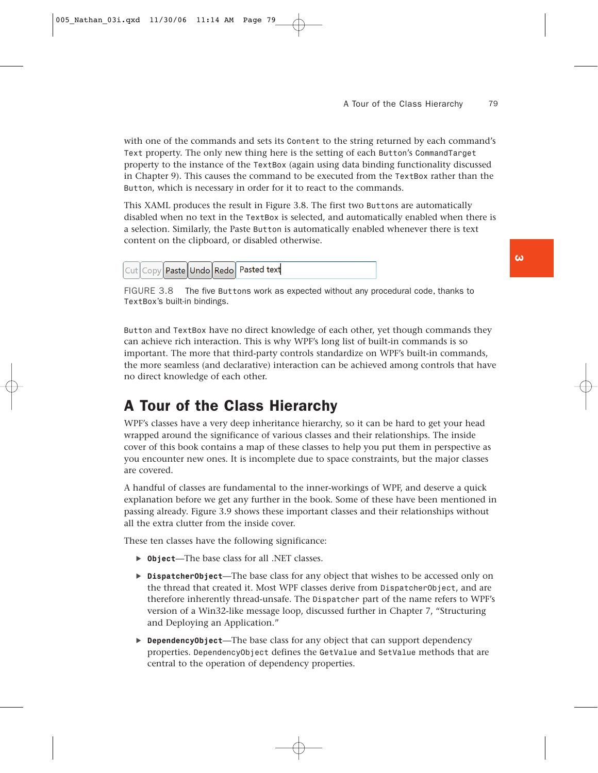with one of the commands and sets its Content to the string returned by each command's Text property. The only new thing here is the setting of each Button's CommandTarget property to the instance of the TextBox (again using data binding functionality discussed in Chapter 9). This causes the command to be executed from the TextBox rather than the Button, which is necessary in order for it to react to the commands.

This XAML produces the result in Figure 3.8. The first two Buttons are automatically disabled when no text in the TextBox is selected, and automatically enabled when there is a selection. Similarly, the Paste Button is automatically enabled whenever there is text content on the clipboard, or disabled otherwise.

```
Cut Copy Paste Undo Redo Pasted text
```
FIGURE 3.8 The five Buttons work as expected without any procedural code, thanks to TextBox's built-in bindings.

Button and TextBox have no direct knowledge of each other, yet though commands they can achieve rich interaction. This is why WPF's long list of built-in commands is so important. The more that third-party controls standardize on WPF's built-in commands, the more seamless (and declarative) interaction can be achieved among controls that have no direct knowledge of each other.

## A Tour of the Class Hierarchy

WPF's classes have a very deep inheritance hierarchy, so it can be hard to get your head wrapped around the significance of various classes and their relationships. The inside cover of this book contains a map of these classes to help you put them in perspective as you encounter new ones. It is incomplete due to space constraints, but the major classes are covered.

A handful of classes are fundamental to the inner-workings of WPF, and deserve a quick explanation before we get any further in the book. Some of these have been mentioned in passing already. Figure 3.9 shows these important classes and their relationships without all the extra clutter from the inside cover.

These ten classes have the following significance:

- . **Object**—The base class for all .NET classes.
- . **DispatcherObject**—The base class for any object that wishes to be accessed only on the thread that created it. Most WPF classes derive from DispatcherObject, and are therefore inherently thread-unsafe. The Dispatcher part of the name refers to WPF's version of a Win32-like message loop, discussed further in Chapter 7, "Structuring and Deploying an Application."
- . **DependencyObject**—The base class for any object that can support dependency properties. DependencyObject defines the GetValue and SetValue methods that are central to the operation of dependency properties.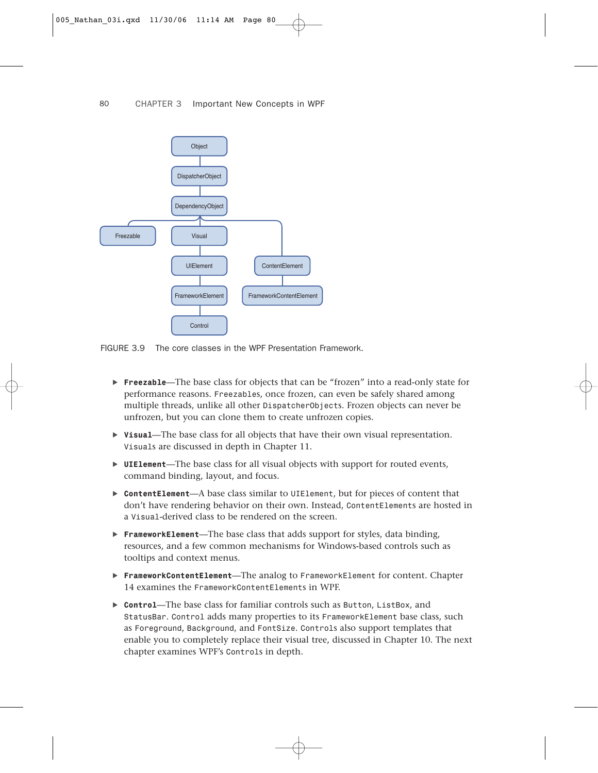

FIGURE 3.9 The core classes in the WPF Presentation Framework.

- . **Freezable**—The base class for objects that can be "frozen" into a read-only state for performance reasons. Freezables, once frozen, can even be safely shared among multiple threads, unlike all other DispatcherObjects. Frozen objects can never be unfrozen, but you can clone them to create unfrozen copies.
- . **Visual**—The base class for all objects that have their own visual representation. Visuals are discussed in depth in Chapter 11.
- . **UIElement**—The base class for all visual objects with support for routed events, command binding, layout, and focus.
- . **ContentElement**—A base class similar to UIElement, but for pieces of content that don't have rendering behavior on their own. Instead, ContentElements are hosted in a Visual-derived class to be rendered on the screen.
- . **FrameworkElement**—The base class that adds support for styles, data binding, resources, and a few common mechanisms for Windows-based controls such as tooltips and context menus.
- . **FrameworkContentElement**—The analog to FrameworkElement for content. Chapter 14 examines the FrameworkContentElements in WPF.
- . **Control**—The base class for familiar controls such as Button, ListBox, and StatusBar. Control adds many properties to its FrameworkElement base class, such as Foreground, Background, and FontSize. Controls also support templates that enable you to completely replace their visual tree, discussed in Chapter 10. The next chapter examines WPF's Controls in depth.